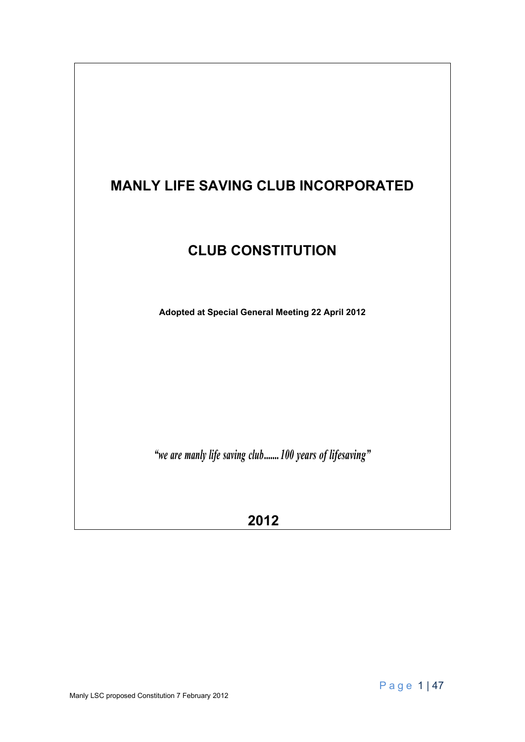# **MANLY LIFE SAVING CLUB INCORPORATED**

# **CLUB CONSTITUTION**

**Adopted at Special General Meeting 22 April 2012**

*"we are manly life saving club.......100 years of lifesaving"*

**2012**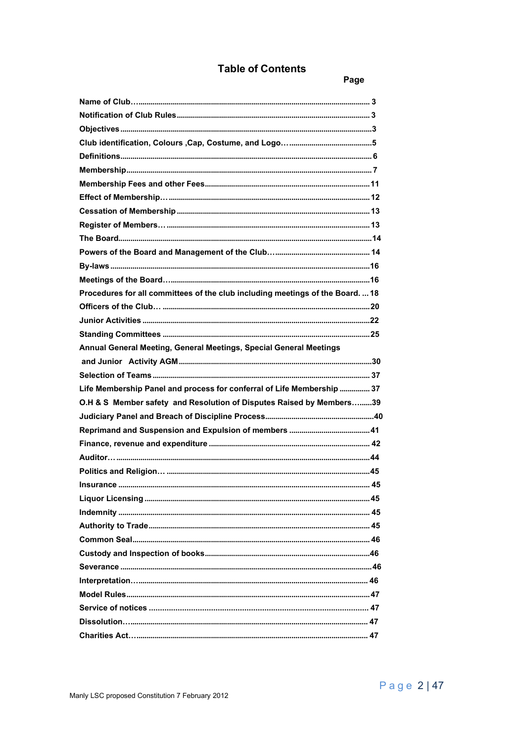# **Table of Contents**

Page

| Procedures for all committees of the club including meetings of the Board.  18 |  |
|--------------------------------------------------------------------------------|--|
|                                                                                |  |
|                                                                                |  |
|                                                                                |  |
| Annual General Meeting, General Meetings, Special General Meetings             |  |
|                                                                                |  |
|                                                                                |  |
| Life Membership Panel and process for conferral of Life Membership  37         |  |
| O.H & S Member safety and Resolution of Disputes Raised by Members39           |  |
|                                                                                |  |
|                                                                                |  |
|                                                                                |  |
|                                                                                |  |
|                                                                                |  |
| $\overline{45}$                                                                |  |
|                                                                                |  |
|                                                                                |  |
|                                                                                |  |
|                                                                                |  |
|                                                                                |  |
|                                                                                |  |
|                                                                                |  |
|                                                                                |  |
|                                                                                |  |
|                                                                                |  |
|                                                                                |  |
|                                                                                |  |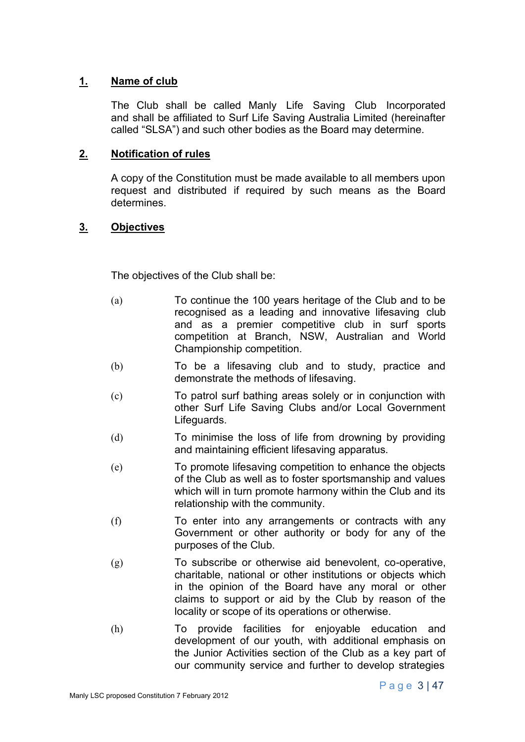# **1. Name of club**

The Club shall be called Manly Life Saving Club Incorporated and shall be affiliated to Surf Life Saving Australia Limited (hereinafter called "SLSA") and such other bodies as the Board may determine.

## **2. Notification of rules**

A copy of the Constitution must be made available to all members upon request and distributed if required by such means as the Board determines.

# **3. Objectives**

The objectives of the Club shall be:

- (a) To continue the 100 years heritage of the Club and to be recognised as a leading and innovative lifesaving club and as a premier competitive club in surf sports competition at Branch, NSW, Australian and World Championship competition.
- (b) To be a lifesaving club and to study, practice and demonstrate the methods of lifesaving.
- (c) To patrol surf bathing areas solely or in conjunction with other Surf Life Saving Clubs and/or Local Government Lifeguards.
- (d) To minimise the loss of life from drowning by providing and maintaining efficient lifesaving apparatus.
- (e) To promote lifesaving competition to enhance the objects of the Club as well as to foster sportsmanship and values which will in turn promote harmony within the Club and its relationship with the community.
- (f) To enter into any arrangements or contracts with any Government or other authority or body for any of the purposes of the Club.
- (g) To subscribe or otherwise aid benevolent, co-operative, charitable, national or other institutions or objects which in the opinion of the Board have any moral or other claims to support or aid by the Club by reason of the locality or scope of its operations or otherwise.
- (h) To provide facilities for enjoyable education and development of our youth, with additional emphasis on the Junior Activities section of the Club as a key part of our community service and further to develop strategies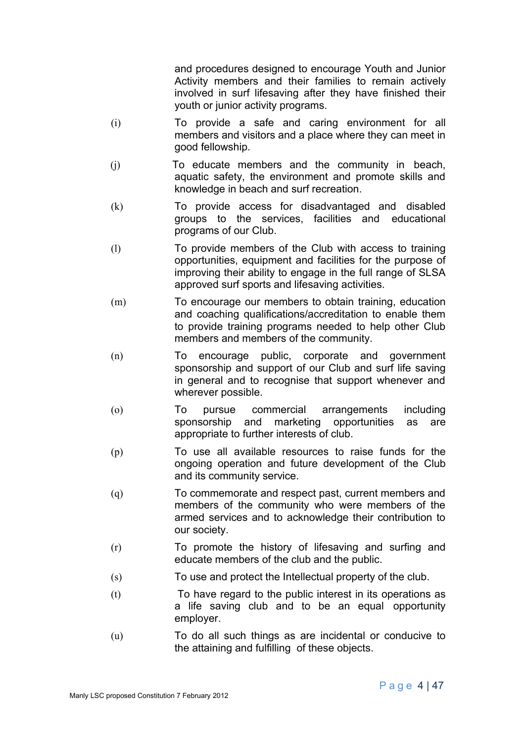and procedures designed to encourage Youth and Junior Activity members and their families to remain actively involved in surf lifesaving after they have finished their youth or junior activity programs.

- (i) To provide a safe and caring environment for all members and visitors and a place where they can meet in good fellowship.
- (j) To educate members and the community in beach, aquatic safety, the environment and promote skills and knowledge in beach and surf recreation.
- (k) To provide access for disadvantaged and disabled groups to the services, facilities and educational programs of our Club.
- (l) To provide members of the Club with access to training opportunities, equipment and facilities for the purpose of improving their ability to engage in the full range of SLSA approved surf sports and lifesaving activities.
- (m) To encourage our members to obtain training, education and coaching qualifications/accreditation to enable them to provide training programs needed to help other Club members and members of the community.
- (n) To encourage public, corporate and government sponsorship and support of our Club and surf life saving in general and to recognise that support whenever and wherever possible.
- (o) To pursue commercial arrangements including sponsorship and marketing opportunities as are appropriate to further interests of club.
- (p) To use all available resources to raise funds for the ongoing operation and future development of the Club and its community service.
- (q) To commemorate and respect past, current members and members of the community who were members of the armed services and to acknowledge their contribution to our society.
- (r) To promote the history of lifesaving and surfing and educate members of the club and the public.
- (s) To use and protect the Intellectual property of the club.
- (t) To have regard to the public interest in its operations as a life saving club and to be an equal opportunity employer.
- (u) To do all such things as are incidental or conducive to the attaining and fulfilling of these objects.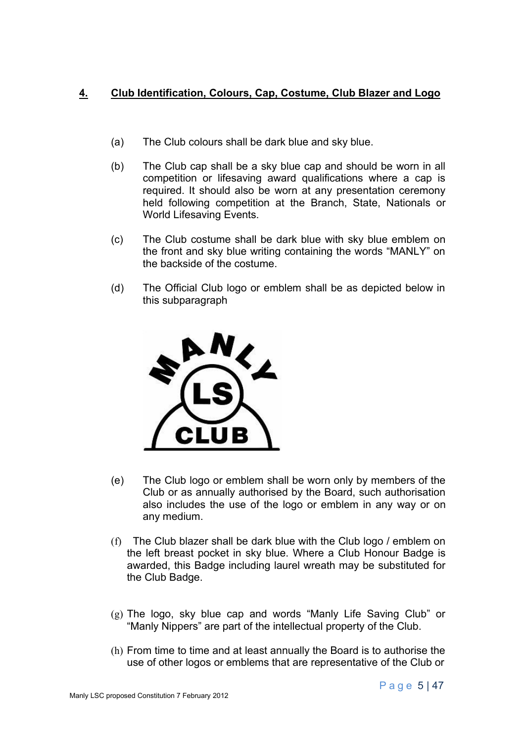# **4. Club Identification, Colours, Cap, Costume, Club Blazer and Logo**

- (a) The Club colours shall be dark blue and sky blue.
- (b) The Club cap shall be a sky blue cap and should be worn in all competition or lifesaving award qualifications where a cap is required. It should also be worn at any presentation ceremony held following competition at the Branch, State, Nationals or World Lifesaving Events.
- (c) The Club costume shall be dark blue with sky blue emblem on the front and sky blue writing containing the words "MANLY" on the backside of the costume.
- (d) The Official Club logo or emblem shall be as depicted below in this subparagraph



- (e) The Club logo or emblem shall be worn only by members of the Club or as annually authorised by the Board, such authorisation also includes the use of the logo or emblem in any way or on any medium.
- (f) The Club blazer shall be dark blue with the Club logo / emblem on the left breast pocket in sky blue. Where a Club Honour Badge is awarded, this Badge including laurel wreath may be substituted for the Club Badge.
- (g) The logo, sky blue cap and words "Manly Life Saving Club" or "Manly Nippers" are part of the intellectual property of the Club.
- (h) From time to time and at least annually the Board is to authorise the use of other logos or emblems that are representative of the Club or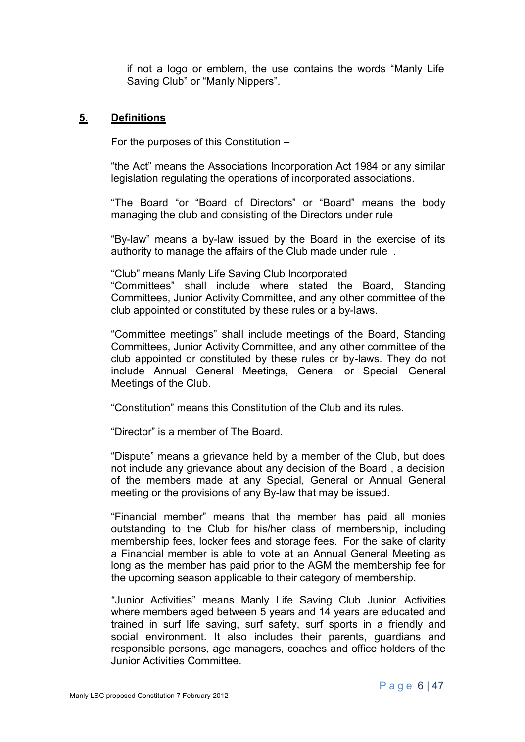if not a logo or emblem, the use contains the words "Manly Life Saving Club" or "Manly Nippers".

#### **5. Definitions**

For the purposes of this Constitution –

"the Act" means the Associations Incorporation Act 1984 or any similar legislation regulating the operations of incorporated associations.

"The Board "or "Board of Directors" or "Board" means the body managing the club and consisting of the Directors under rule

"By-law" means a by-law issued by the Board in the exercise of its authority to manage the affairs of the Club made under rule .

"Club" means Manly Life Saving Club Incorporated

"Committees" shall include where stated the Board, Standing Committees, Junior Activity Committee, and any other committee of the club appointed or constituted by these rules or a by-laws.

"Committee meetings" shall include meetings of the Board, Standing Committees, Junior Activity Committee, and any other committee of the club appointed or constituted by these rules or by-laws. They do not include Annual General Meetings, General or Special General Meetings of the Club.

"Constitution" means this Constitution of the Club and its rules.

"Director" is a member of The Board.

"Dispute" means a grievance held by a member of the Club, but does not include any grievance about any decision of the Board , a decision of the members made at any Special, General or Annual General meeting or the provisions of any By-law that may be issued.

"Financial member" means that the member has paid all monies outstanding to the Club for his/her class of membership, including membership fees, locker fees and storage fees. For the sake of clarity a Financial member is able to vote at an Annual General Meeting as long as the member has paid prior to the AGM the membership fee for the upcoming season applicable to their category of membership.

"Junior Activities" means Manly Life Saving Club Junior Activities where members aged between 5 years and 14 years are educated and trained in surf life saving, surf safety, surf sports in a friendly and social environment. It also includes their parents, guardians and responsible persons, age managers, coaches and office holders of the Junior Activities Committee.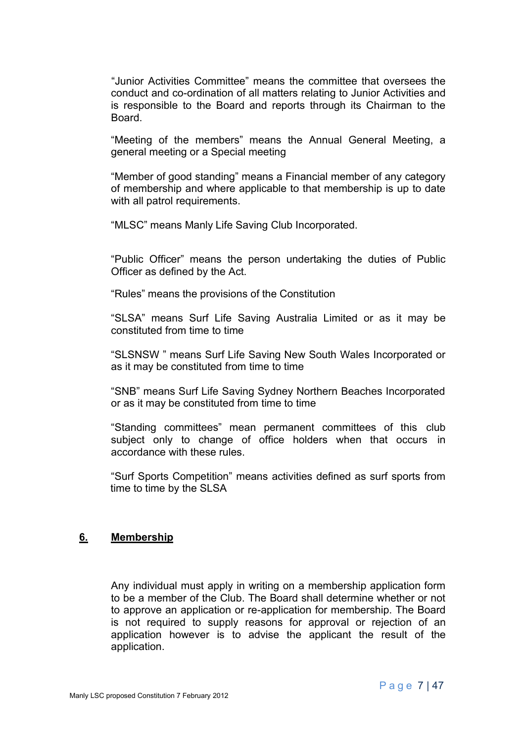"Junior Activities Committee" means the committee that oversees the conduct and co-ordination of all matters relating to Junior Activities and is responsible to the Board and reports through its Chairman to the Board.

"Meeting of the members" means the Annual General Meeting, a general meeting or a Special meeting

"Member of good standing" means a Financial member of any category of membership and where applicable to that membership is up to date with all patrol requirements.

"MLSC" means Manly Life Saving Club Incorporated.

"Public Officer" means the person undertaking the duties of Public Officer as defined by the Act.

"Rules" means the provisions of the Constitution

"SLSA" means Surf Life Saving Australia Limited or as it may be constituted from time to time

"SLSNSW " means Surf Life Saving New South Wales Incorporated or as it may be constituted from time to time

"SNB" means Surf Life Saving Sydney Northern Beaches Incorporated or as it may be constituted from time to time

"Standing committees" mean permanent committees of this club subject only to change of office holders when that occurs in accordance with these rules.

"Surf Sports Competition" means activities defined as surf sports from time to time by the SLSA

#### **6. Membership**

Any individual must apply in writing on a membership application form to be a member of the Club. The Board shall determine whether or not to approve an application or re-application for membership. The Board is not required to supply reasons for approval or rejection of an application however is to advise the applicant the result of the application.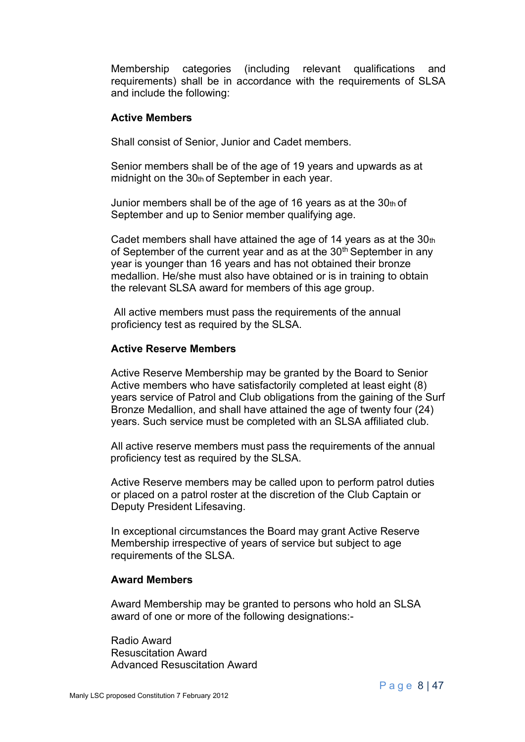Membership categories (including relevant qualifications and requirements) shall be in accordance with the requirements of SLSA and include the following:

#### **Active Members**

Shall consist of Senior, Junior and Cadet members.

Senior members shall be of the age of 19 years and upwards as at midnight on the 30th of September in each year.

Junior members shall be of the age of 16 years as at the  $30<sub>th</sub>$  of September and up to Senior member qualifying age.

Cadet members shall have attained the age of 14 years as at the 30th of September of the current year and as at the  $30<sup>th</sup>$  September in any year is younger than 16 years and has not obtained their bronze medallion. He/she must also have obtained or is in training to obtain the relevant SLSA award for members of this age group.

All active members must pass the requirements of the annual proficiency test as required by the SLSA.

#### **Active Reserve Members**

Active Reserve Membership may be granted by the Board to Senior Active members who have satisfactorily completed at least eight (8) years service of Patrol and Club obligations from the gaining of the Surf Bronze Medallion, and shall have attained the age of twenty four (24) years. Such service must be completed with an SLSA affiliated club.

All active reserve members must pass the requirements of the annual proficiency test as required by the SLSA.

Active Reserve members may be called upon to perform patrol duties or placed on a patrol roster at the discretion of the Club Captain or Deputy President Lifesaving.

In exceptional circumstances the Board may grant Active Reserve Membership irrespective of years of service but subject to age requirements of the SLSA.

#### **Award Members**

Award Membership may be granted to persons who hold an SLSA award of one or more of the following designations:-

Radio Award Resuscitation Award Advanced Resuscitation Award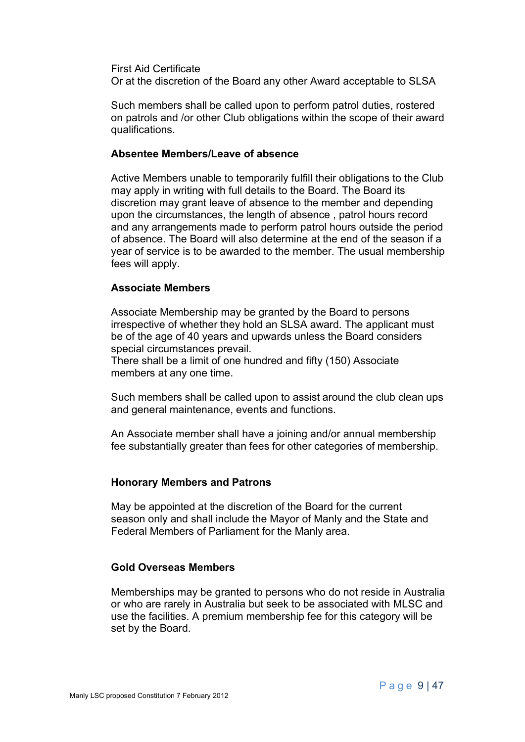First Aid Certificate

Or at the discretion of the Board any other Award acceptable to SLSA

Such members shall be called upon to perform patrol duties, rostered on patrols and /or other Club obligations within the scope of their award qualifications.

#### **Absentee Members/Leave of absence**

Active Members unable to temporarily fulfill their obligations to the Club may apply in writing with full details to the Board. The Board its discretion may grant leave of absence to the member and depending upon the circumstances, the length of absence , patrol hours record and any arrangements made to perform patrol hours outside the period of absence. The Board will also determine at the end of the season if a year of service is to be awarded to the member. The usual membership fees will apply.

#### **Associate Members**

Associate Membership may be granted by the Board to persons irrespective of whether they hold an SLSA award. The applicant must be of the age of 40 years and upwards unless the Board considers special circumstances prevail.

There shall be a limit of one hundred and fifty (150) Associate members at any one time.

Such members shall be called upon to assist around the club clean ups and general maintenance, events and functions.

An Associate member shall have a joining and/or annual membership fee substantially greater than fees for other categories of membership.

#### **Honorary Members and Patrons**

May be appointed at the discretion of the Board for the current season only and shall include the Mayor of Manly and the State and Federal Members of Parliament for the Manly area.

#### **Gold Overseas Members**

Memberships may be granted to persons who do not reside in Australia or who are rarely in Australia but seek to be associated with MLSC and use the facilities. A premium membership fee for this category will be set by the Board.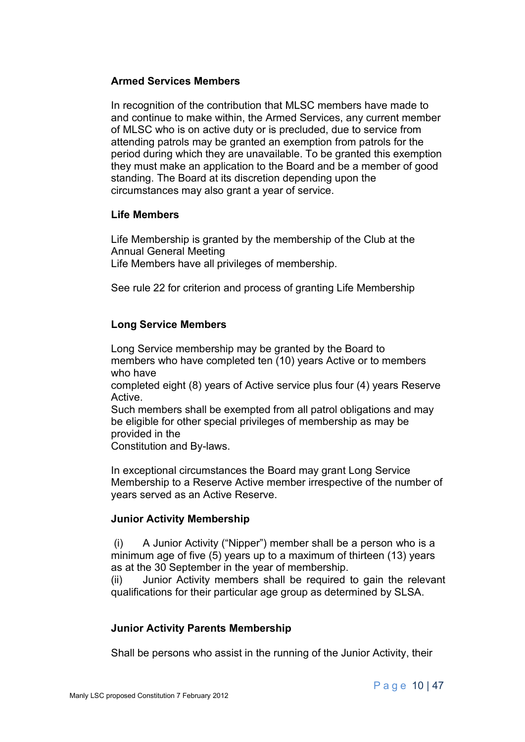#### **Armed Services Members**

In recognition of the contribution that MLSC members have made to and continue to make within, the Armed Services, any current member of MLSC who is on active duty or is precluded, due to service from attending patrols may be granted an exemption from patrols for the period during which they are unavailable. To be granted this exemption they must make an application to the Board and be a member of good standing. The Board at its discretion depending upon the circumstances may also grant a year of service.

#### **Life Members**

Life Membership is granted by the membership of the Club at the Annual General Meeting Life Members have all privileges of membership.

See rule 22 for criterion and process of granting Life Membership

#### **Long Service Members**

Long Service membership may be granted by the Board to members who have completed ten (10) years Active or to members who have completed eight (8) years of Active service plus four (4) years Reserve Active. Such members shall be exempted from all patrol obligations and may be eligible for other special privileges of membership as may be provided in the

Constitution and By-laws.

In exceptional circumstances the Board may grant Long Service Membership to a Reserve Active member irrespective of the number of years served as an Active Reserve.

#### **Junior Activity Membership**

(i) A Junior Activity ("Nipper") member shall be a person who is a minimum age of five (5) years up to a maximum of thirteen (13) years as at the 30 September in the year of membership.

(ii) Junior Activity members shall be required to gain the relevant qualifications for their particular age group as determined by SLSA.

#### **Junior Activity Parents Membership**

Shall be persons who assist in the running of the Junior Activity, their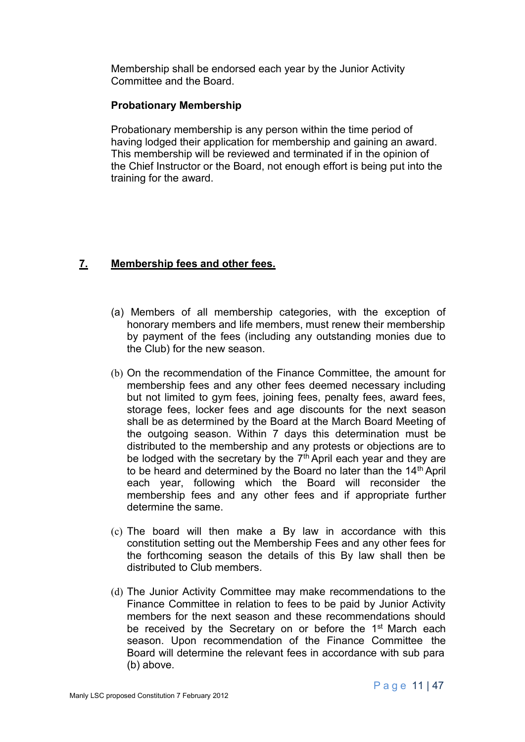Membership shall be endorsed each year by the Junior Activity Committee and the Board.

### **Probationary Membership**

Probationary membership is any person within the time period of having lodged their application for membership and gaining an award. This membership will be reviewed and terminated if in the opinion of the Chief Instructor or the Board, not enough effort is being put into the training for the award.

# **7. Membership fees and other fees.**

- (a) Members of all membership categories, with the exception of honorary members and life members, must renew their membership by payment of the fees (including any outstanding monies due to the Club) for the new season.
- (b) On the recommendation of the Finance Committee, the amount for membership fees and any other fees deemed necessary including but not limited to gym fees, joining fees, penalty fees, award fees, storage fees, locker fees and age discounts for the next season shall be as determined by the Board at the March Board Meeting of the outgoing season. Within 7 days this determination must be distributed to the membership and any protests or objections are to be lodged with the secretary by the  $7<sup>th</sup>$  April each year and they are to be heard and determined by the Board no later than the  $14<sup>th</sup>$  April each year, following which the Board will reconsider the membership fees and any other fees and if appropriate further determine the same.
- (c) The board will then make a By law in accordance with this constitution setting out the Membership Fees and any other fees for the forthcoming season the details of this By law shall then be distributed to Club members.
- (d) The Junior Activity Committee may make recommendations to the Finance Committee in relation to fees to be paid by Junior Activity members for the next season and these recommendations should be received by the Secretary on or before the 1<sup>st</sup> March each season. Upon recommendation of the Finance Committee the Board will determine the relevant fees in accordance with sub para (b) above.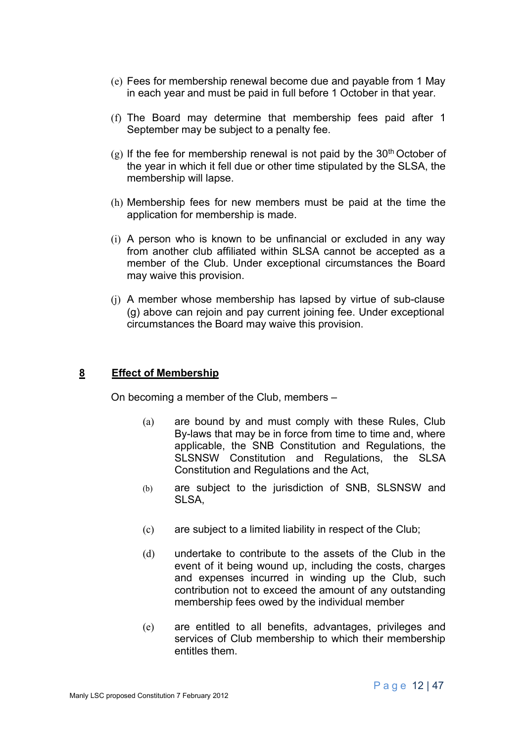- (e) Fees for membership renewal become due and payable from 1 May in each year and must be paid in full before 1 October in that year.
- (f) The Board may determine that membership fees paid after 1 September may be subject to a penalty fee.
- $(g)$  If the fee for membership renewal is not paid by the 30<sup>th</sup> October of the year in which it fell due or other time stipulated by the SLSA, the membership will lapse.
- (h) Membership fees for new members must be paid at the time the application for membership is made.
- (i) A person who is known to be unfinancial or excluded in any way from another club affiliated within SLSA cannot be accepted as a member of the Club. Under exceptional circumstances the Board may waive this provision.
- (j) A member whose membership has lapsed by virtue of sub-clause (g) above can rejoin and pay current joining fee. Under exceptional circumstances the Board may waive this provision.

#### **8 Effect of Membership**

On becoming a member of the Club, members –

- (a) are bound by and must comply with these Rules, Club By-laws that may be in force from time to time and, where applicable, the SNB Constitution and Regulations, the SLSNSW Constitution and Regulations, the SLSA Constitution and Regulations and the Act,
- (b) are subject to the jurisdiction of SNB, SLSNSW and SLSA,
- (c) are subject to a limited liability in respect of the Club;
- (d) undertake to contribute to the assets of the Club in the event of it being wound up, including the costs, charges and expenses incurred in winding up the Club, such contribution not to exceed the amount of any outstanding membership fees owed by the individual member
- (e) are entitled to all benefits, advantages, privileges and services of Club membership to which their membership entitles them.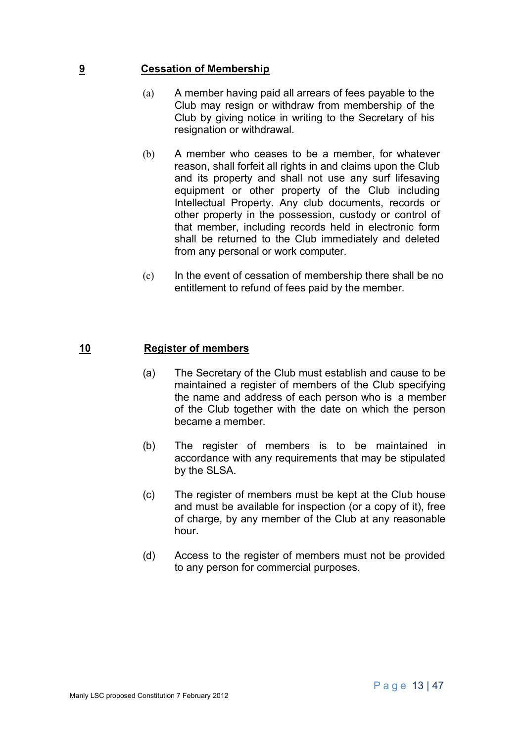#### **9 Cessation of Membership**

- (a) A member having paid all arrears of fees payable to the Club may resign or withdraw from membership of the Club by giving notice in writing to the Secretary of his resignation or withdrawal.
- (b) A member who ceases to be a member, for whatever reason, shall forfeit all rights in and claims upon the Club and its property and shall not use any surf lifesaving equipment or other property of the Club including Intellectual Property. Any club documents, records or other property in the possession, custody or control of that member, including records held in electronic form shall be returned to the Club immediately and deleted from any personal or work computer.
- (c) In the event of cessation of membership there shall be no entitlement to refund of fees paid by the member.

#### **10 Register of members**

- (a) The Secretary of the Club must establish and cause to be maintained a register of members of the Club specifying the name and address of each person who is a member of the Club together with the date on which the person became a member.
- (b) The register of members is to be maintained in accordance with any requirements that may be stipulated by the SLSA.
- (c) The register of members must be kept at the Club house and must be available for inspection (or a copy of it), free of charge, by any member of the Club at any reasonable hour.
- (d) Access to the register of members must not be provided to any person for commercial purposes.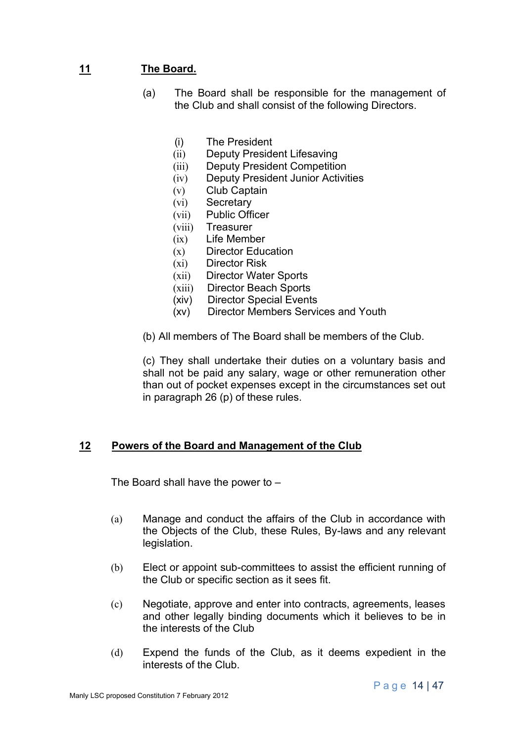# **11 The Board.**

- (a) The Board shall be responsible for the management of the Club and shall consist of the following Directors.
	- (i) The President
	- (ii) Deputy President Lifesaving
	- (iii) Deputy President Competition
	- (iv) Deputy President Junior Activities
	- (v) Club Captain
	- (vi) Secretary
	- (vii) Public Officer
	- (viii) Treasurer
	- (ix) Life Member
	- (x) Director Education
	- (xi) Director Risk
	- (xii) Director Water Sports
	- (xiii) Director Beach Sports
	- (xiv) Director Special Events
	- (xv) Director Members Services and Youth
- (b) All members of The Board shall be members of the Club.

(c) They shall undertake their duties on a voluntary basis and shall not be paid any salary, wage or other remuneration other than out of pocket expenses except in the circumstances set out in paragraph 26 (p) of these rules.

#### **12 Powers of the Board and Management of the Club**

The Board shall have the power to –

- (a) Manage and conduct the affairs of the Club in accordance with the Objects of the Club, these Rules, By-laws and any relevant legislation.
- (b) Elect or appoint sub-committees to assist the efficient running of the Club or specific section as it sees fit.
- (c) Negotiate, approve and enter into contracts, agreements, leases and other legally binding documents which it believes to be in the interests of the Club
- (d) Expend the funds of the Club, as it deems expedient in the interests of the Club.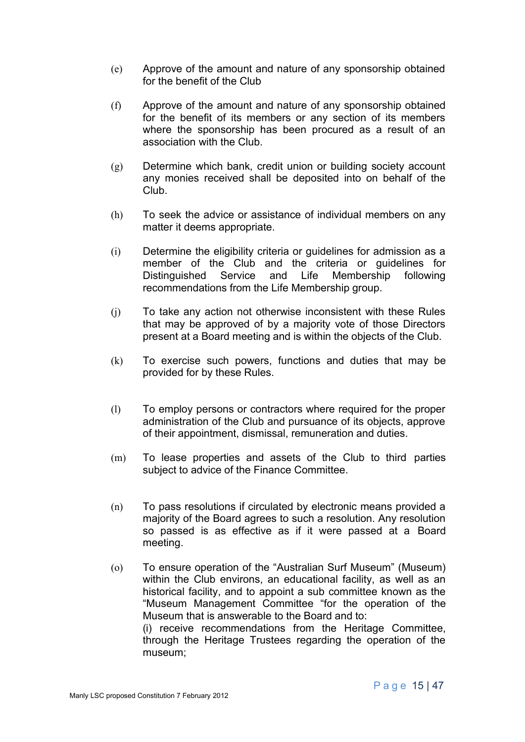- (e) Approve of the amount and nature of any sponsorship obtained for the benefit of the Club
- (f) Approve of the amount and nature of any sponsorship obtained for the benefit of its members or any section of its members where the sponsorship has been procured as a result of an association with the Club.
- (g) Determine which bank, credit union or building society account any monies received shall be deposited into on behalf of the Club.
- (h) To seek the advice or assistance of individual members on any matter it deems appropriate.
- (i) Determine the eligibility criteria or guidelines for admission as a member of the Club and the criteria or guidelines for Distinguished Service and Life Membership following recommendations from the Life Membership group.
- (j) To take any action not otherwise inconsistent with these Rules that may be approved of by a majority vote of those Directors present at a Board meeting and is within the objects of the Club.
- (k) To exercise such powers, functions and duties that may be provided for by these Rules.
- (l) To employ persons or contractors where required for the proper administration of the Club and pursuance of its objects, approve of their appointment, dismissal, remuneration and duties.
- (m) To lease properties and assets of the Club to third parties subject to advice of the Finance Committee.
- (n) To pass resolutions if circulated by electronic means provided a majority of the Board agrees to such a resolution. Any resolution so passed is as effective as if it were passed at a Board meeting.
- (o) To ensure operation of the "Australian Surf Museum" (Museum) within the Club environs, an educational facility, as well as an historical facility, and to appoint a sub committee known as the "Museum Management Committee "for the operation of the Museum that is answerable to the Board and to: (i) receive recommendations from the Heritage Committee, through the Heritage Trustees regarding the operation of the museum;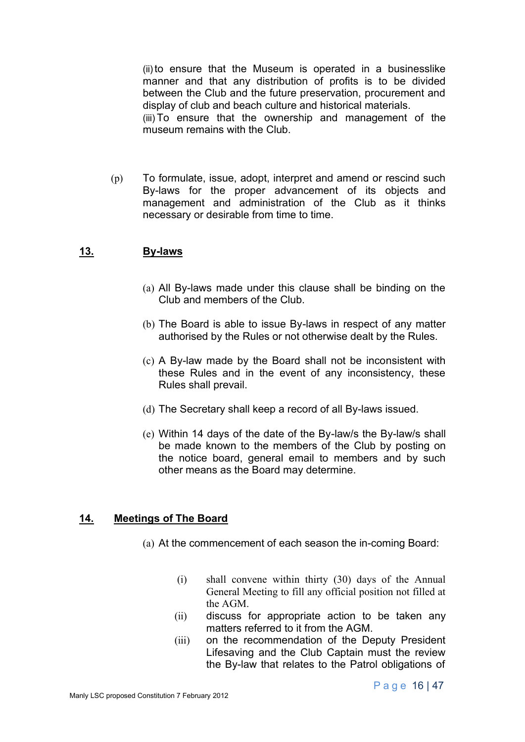(ii)to ensure that the Museum is operated in a businesslike manner and that any distribution of profits is to be divided between the Club and the future preservation, procurement and display of club and beach culture and historical materials. (iii) To ensure that the ownership and management of the museum remains with the Club.

(p) To formulate, issue, adopt, interpret and amend or rescind such By-laws for the proper advancement of its objects and management and administration of the Club as it thinks necessary or desirable from time to time.

## **13. By-laws**

- (a) All By-laws made under this clause shall be binding on the Club and members of the Club.
- (b) The Board is able to issue By-laws in respect of any matter authorised by the Rules or not otherwise dealt by the Rules.
- (c) A By-law made by the Board shall not be inconsistent with these Rules and in the event of any inconsistency, these Rules shall prevail.
- (d) The Secretary shall keep a record of all By-laws issued.
- (e) Within 14 days of the date of the By-law/s the By-law/s shall be made known to the members of the Club by posting on the notice board, general email to members and by such other means as the Board may determine.

#### **14. Meetings of The Board**

- (a) At the commencement of each season the in-coming Board:
	- (i) shall convene within thirty (30) days of the Annual General Meeting to fill any official position not filled at the AGM.
	- (ii) discuss for appropriate action to be taken any matters referred to it from the AGM.
	- (iii) on the recommendation of the Deputy President Lifesaving and the Club Captain must the review the By-law that relates to the Patrol obligations of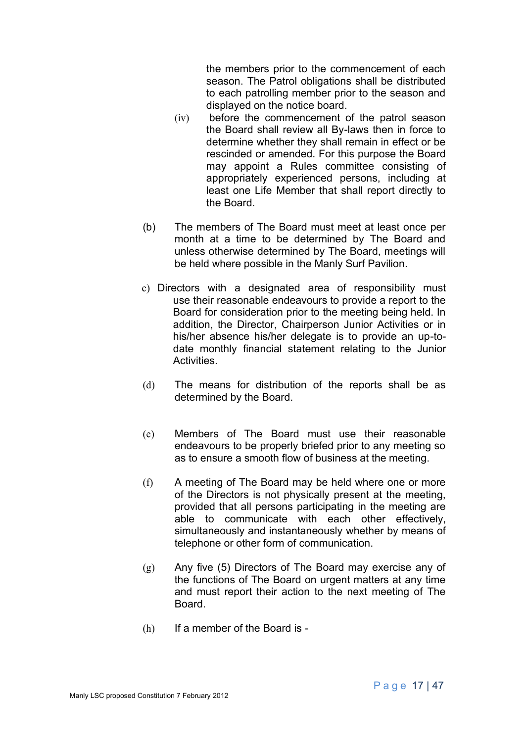the members prior to the commencement of each season. The Patrol obligations shall be distributed to each patrolling member prior to the season and displayed on the notice board.

- (iv) before the commencement of the patrol season the Board shall review all By-laws then in force to determine whether they shall remain in effect or be rescinded or amended. For this purpose the Board may appoint a Rules committee consisting of appropriately experienced persons, including at least one Life Member that shall report directly to the Board.
- (b) The members of The Board must meet at least once per month at a time to be determined by The Board and unless otherwise determined by The Board, meetings will be held where possible in the Manly Surf Pavilion.
- c) Directors with a designated area of responsibility must use their reasonable endeavours to provide a report to the Board for consideration prior to the meeting being held. In addition, the Director, Chairperson Junior Activities or in his/her absence his/her delegate is to provide an up-todate monthly financial statement relating to the Junior Activities.
- (d) The means for distribution of the reports shall be as determined by the Board.
- (e) Members of The Board must use their reasonable endeavours to be properly briefed prior to any meeting so as to ensure a smooth flow of business at the meeting.
- (f) A meeting of The Board may be held where one or more of the Directors is not physically present at the meeting, provided that all persons participating in the meeting are able to communicate with each other effectively, simultaneously and instantaneously whether by means of telephone or other form of communication.
- (g) Any five (5) Directors of The Board may exercise any of the functions of The Board on urgent matters at any time and must report their action to the next meeting of The Board.
- (h) If a member of the Board is -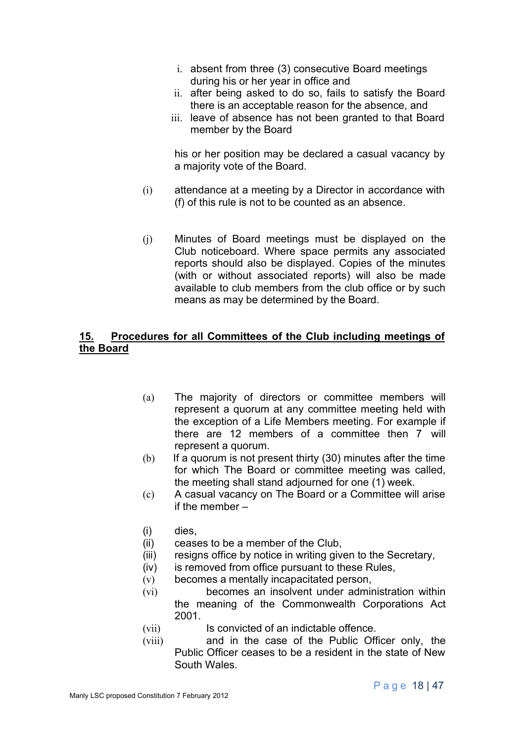- i. absent from three (3) consecutive Board meetings during his or her year in office and
- ii. after being asked to do so, fails to satisfy the Board there is an acceptable reason for the absence, and
- iii. leave of absence has not been granted to that Board member by the Board

his or her position may be declared a casual vacancy by a majority vote of the Board.

- (i) attendance at a meeting by a Director in accordance with (f) of this rule is not to be counted as an absence.
- (j) Minutes of Board meetings must be displayed on the Club noticeboard. Where space permits any associated reports should also be displayed. Copies of the minutes (with or without associated reports) will also be made available to club members from the club office or by such means as may be determined by the Board.

## **15. Procedures for all Committees of the Club including meetings of the Board**

- (a) The majority of directors or committee members will represent a quorum at any committee meeting held with the exception of a Life Members meeting. For example if there are 12 members of a committee then 7 will represent a quorum.
- $(b)$  If a quorum is not present thirty (30) minutes after the time for which The Board or committee meeting was called, the meeting shall stand adjourned for one (1) week.
- (c) A casual vacancy on The Board or a Committee will arise if the member –
- (i) dies,
- (ii) ceases to be a member of the Club,
- (iii) resigns office by notice in writing given to the Secretary,
- (iv) is removed from office pursuant to these Rules,
- (v) becomes a mentally incapacitated person,
- (vi) becomes an insolvent under administration within the meaning of the Commonwealth Corporations Act 2001.
- (vii) Is convicted of an indictable offence.
- (viii) and in the case of the Public Officer only, the Public Officer ceases to be a resident in the state of New South Wales.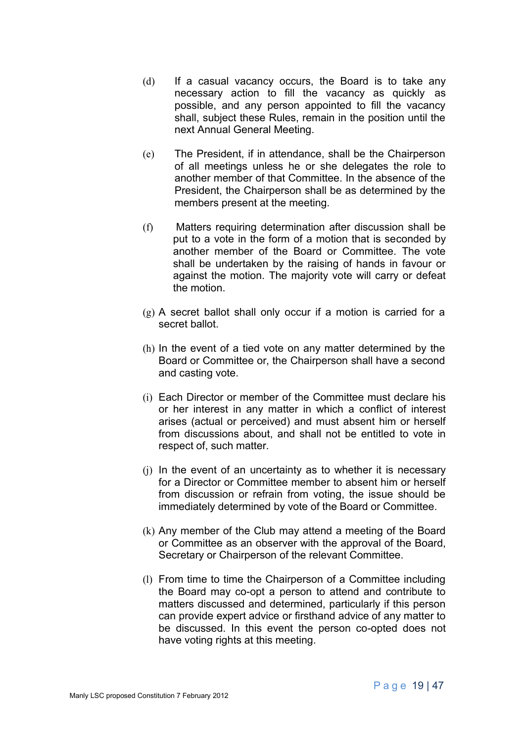- (d) If a casual vacancy occurs, the Board is to take any necessary action to fill the vacancy as quickly as possible, and any person appointed to fill the vacancy shall, subject these Rules, remain in the position until the next Annual General Meeting.
- (e) The President, if in attendance, shall be the Chairperson of all meetings unless he or she delegates the role to another member of that Committee. In the absence of the President, the Chairperson shall be as determined by the members present at the meeting.
- (f) Matters requiring determination after discussion shall be put to a vote in the form of a motion that is seconded by another member of the Board or Committee. The vote shall be undertaken by the raising of hands in favour or against the motion. The majority vote will carry or defeat the motion.
- (g) A secret ballot shall only occur if a motion is carried for a secret ballot.
- (h) In the event of a tied vote on any matter determined by the Board or Committee or, the Chairperson shall have a second and casting vote.
- (i) Each Director or member of the Committee must declare his or her interest in any matter in which a conflict of interest arises (actual or perceived) and must absent him or herself from discussions about, and shall not be entitled to vote in respect of, such matter.
- (j) In the event of an uncertainty as to whether it is necessary for a Director or Committee member to absent him or herself from discussion or refrain from voting, the issue should be immediately determined by vote of the Board or Committee.
- (k) Any member of the Club may attend a meeting of the Board or Committee as an observer with the approval of the Board, Secretary or Chairperson of the relevant Committee.
- (l) From time to time the Chairperson of a Committee including the Board may co-opt a person to attend and contribute to matters discussed and determined, particularly if this person can provide expert advice or firsthand advice of any matter to be discussed. In this event the person co-opted does not have voting rights at this meeting.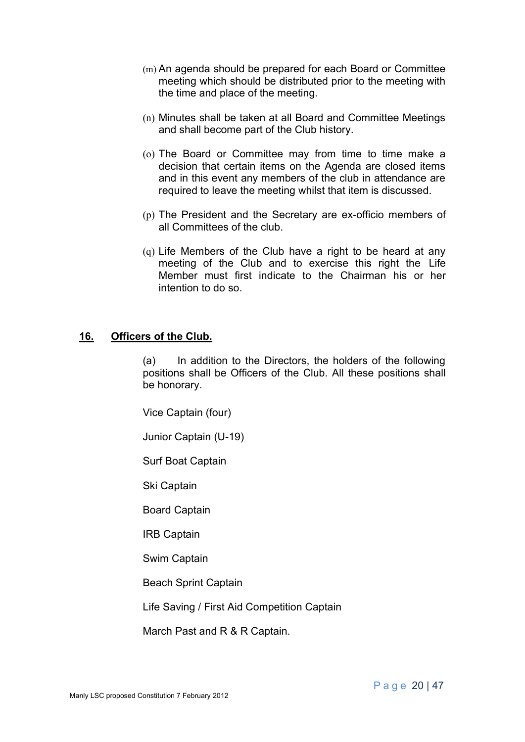- (m) An agenda should be prepared for each Board or Committee meeting which should be distributed prior to the meeting with the time and place of the meeting.
- (n) Minutes shall be taken at all Board and Committee Meetings and shall become part of the Club history.
- (o) The Board or Committee may from time to time make a decision that certain items on the Agenda are closed items and in this event any members of the club in attendance are required to leave the meeting whilst that item is discussed.
- (p) The President and the Secretary are ex-officio members of all Committees of the club.
- (q) Life Members of the Club have a right to be heard at any meeting of the Club and to exercise this right the Life Member must first indicate to the Chairman his or her intention to do so.

#### **16. Officers of the Club.**

(a) In addition to the Directors, the holders of the following positions shall be Officers of the Club. All these positions shall be honorary.

Vice Captain (four)

Junior Captain (U-19)

Surf Boat Captain

Ski Captain

Board Captain

IRB Captain

Swim Captain

Beach Sprint Captain

Life Saving / First Aid Competition Captain

March Past and R & R Captain.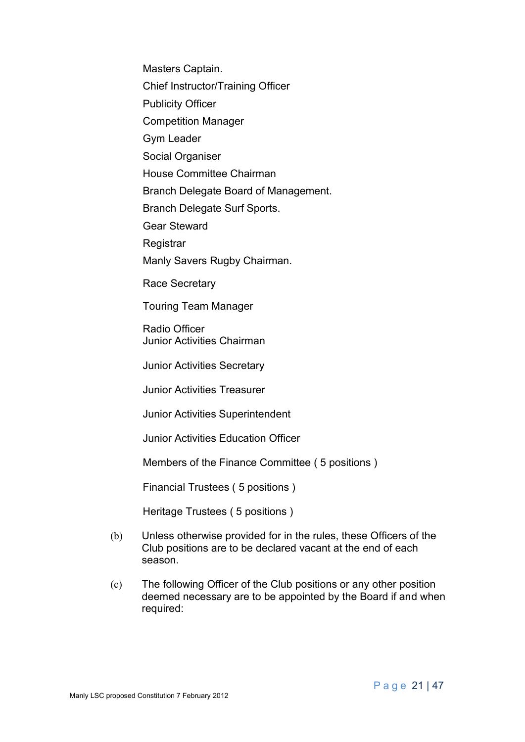Masters Captain.

Chief Instructor/Training Officer

Publicity Officer

Competition Manager

Gym Leader

Social Organiser

House Committee Chairman

Branch Delegate Board of Management.

Branch Delegate Surf Sports.

Gear Steward

**Registrar** 

Manly Savers Rugby Chairman.

Race Secretary

Touring Team Manager

Radio Officer Junior Activities Chairman

Junior Activities Secretary

Junior Activities Treasurer

Junior Activities Superintendent

Junior Activities Education Officer

Members of the Finance Committee ( 5 positions )

Financial Trustees ( 5 positions )

Heritage Trustees ( 5 positions )

- (b) Unless otherwise provided for in the rules, these Officers of the Club positions are to be declared vacant at the end of each season.
- (c) The following Officer of the Club positions or any other position deemed necessary are to be appointed by the Board if and when required: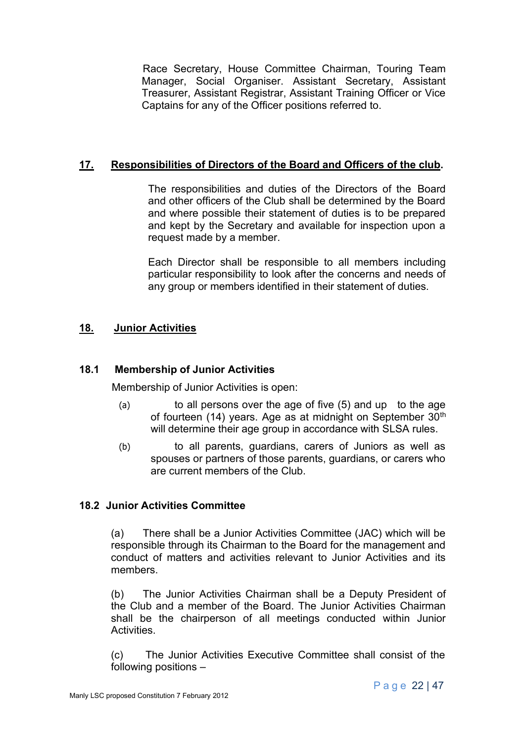Race Secretary, House Committee Chairman, Touring Team Manager, Social Organiser. Assistant Secretary, Assistant Treasurer, Assistant Registrar, Assistant Training Officer or Vice Captains for any of the Officer positions referred to.

## **17. Responsibilities of Directors of the Board and Officers of the club.**

The responsibilities and duties of the Directors of the Board and other officers of the Club shall be determined by the Board and where possible their statement of duties is to be prepared and kept by the Secretary and available for inspection upon a request made by a member.

Each Director shall be responsible to all members including particular responsibility to look after the concerns and needs of any group or members identified in their statement of duties.

# **18. Junior Activities**

### **18.1 Membership of Junior Activities**

Membership of Junior Activities is open:

- (a) to all persons over the age of five (5) and up to the age of fourteen (14) years. Age as at midnight on September  $30<sup>th</sup>$ will determine their age group in accordance with SLSA rules.
- (b) to all parents, guardians, carers of Juniors as well as spouses or partners of those parents, guardians, or carers who are current members of the Club.

#### **18.2 Junior Activities Committee**

(a) There shall be a Junior Activities Committee (JAC) which will be responsible through its Chairman to the Board for the management and conduct of matters and activities relevant to Junior Activities and its members.

(b) The Junior Activities Chairman shall be a Deputy President of the Club and a member of the Board. The Junior Activities Chairman shall be the chairperson of all meetings conducted within Junior Activities.

(c) The Junior Activities Executive Committee shall consist of the following positions –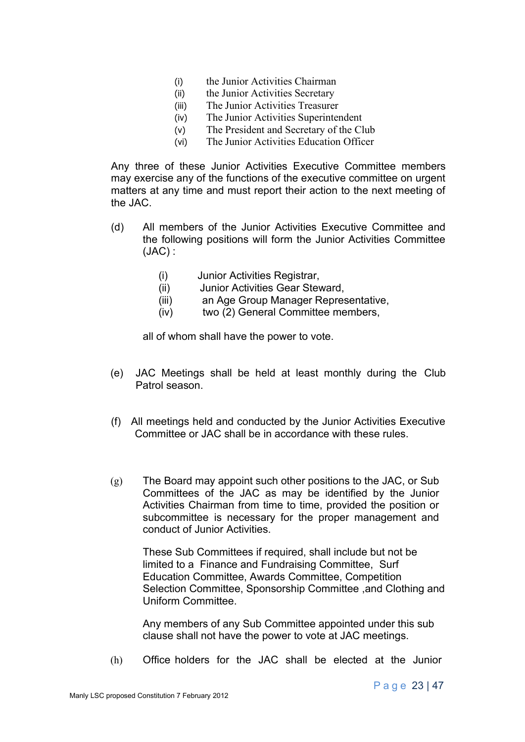- (i) the Junior Activities Chairman
- (ii) the Junior Activities Secretary
- (iii) The Junior Activities Treasurer
- (iv) The Junior Activities Superintendent
- (v) The President and Secretary of the Club
- (vi) The Junior Activities Education Officer

Any three of these Junior Activities Executive Committee members may exercise any of the functions of the executive committee on urgent matters at any time and must report their action to the next meeting of the JAC.

- (d) All members of the Junior Activities Executive Committee and the following positions will form the Junior Activities Committee (JAC) :
	- (i) Junior Activities Registrar,
	- (ii) Junior Activities Gear Steward,
	- (iii) an Age Group Manager Representative,
	- (iv) two (2) General Committee members,

all of whom shall have the power to vote.

- (e) JAC Meetings shall be held at least monthly during the Club Patrol season.
- (f) All meetings held and conducted by the Junior Activities Executive Committee or JAC shall be in accordance with these rules.
- (g) The Board may appoint such other positions to the JAC, or Sub Committees of the JAC as may be identified by the Junior Activities Chairman from time to time, provided the position or subcommittee is necessary for the proper management and conduct of Junior Activities.

These Sub Committees if required, shall include but not be limited to a Finance and Fundraising Committee, Surf Education Committee, Awards Committee, Competition Selection Committee, Sponsorship Committee ,and Clothing and Uniform Committee.

Any members of any Sub Committee appointed under this sub clause shall not have the power to vote at JAC meetings.

(h) Office holders for the JAC shall be elected at the Junior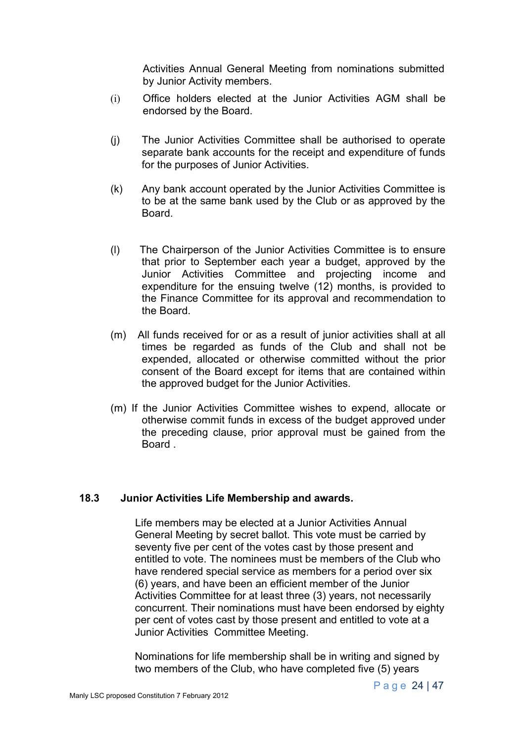Activities Annual General Meeting from nominations submitted by Junior Activity members.

- (i) Office holders elected at the Junior Activities AGM shall be endorsed by the Board.
- (j) The Junior Activities Committee shall be authorised to operate separate bank accounts for the receipt and expenditure of funds for the purposes of Junior Activities.
- (k) Any bank account operated by the Junior Activities Committee is to be at the same bank used by the Club or as approved by the Board.
- (l) The Chairperson of the Junior Activities Committee is to ensure that prior to September each year a budget, approved by the Junior Activities Committee and projecting income and expenditure for the ensuing twelve (12) months, is provided to the Finance Committee for its approval and recommendation to the Board.
- (m) All funds received for or as a result of junior activities shall at all times be regarded as funds of the Club and shall not be expended, allocated or otherwise committed without the prior consent of the Board except for items that are contained within the approved budget for the Junior Activities.
- (m) If the Junior Activities Committee wishes to expend, allocate or otherwise commit funds in excess of the budget approved under the preceding clause, prior approval must be gained from the Board .

#### **18.3 Junior Activities Life Membership and awards.**

Life members may be elected at a Junior Activities Annual General Meeting by secret ballot. This vote must be carried by seventy five per cent of the votes cast by those present and entitled to vote. The nominees must be members of the Club who have rendered special service as members for a period over six (6) years, and have been an efficient member of the Junior Activities Committee for at least three (3) years, not necessarily concurrent. Their nominations must have been endorsed by eighty per cent of votes cast by those present and entitled to vote at a Junior Activities Committee Meeting.

Nominations for life membership shall be in writing and signed by two members of the Club, who have completed five (5) years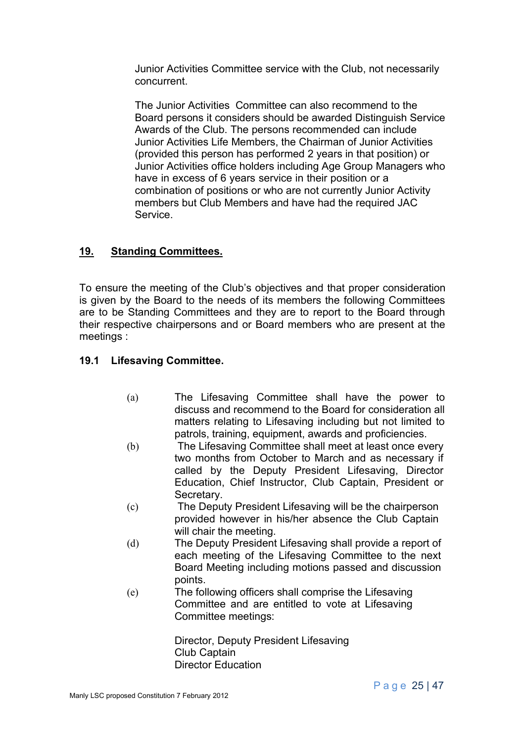Junior Activities Committee service with the Club, not necessarily concurrent.

The Junior Activities Committee can also recommend to the Board persons it considers should be awarded Distinguish Service Awards of the Club. The persons recommended can include Junior Activities Life Members, the Chairman of Junior Activities (provided this person has performed 2 years in that position) or Junior Activities office holders including Age Group Managers who have in excess of 6 years service in their position or a combination of positions or who are not currently Junior Activity members but Club Members and have had the required JAC Service.

# **19. Standing Committees.**

To ensure the meeting of the Club's objectives and that proper consideration is given by the Board to the needs of its members the following Committees are to be Standing Committees and they are to report to the Board through their respective chairpersons and or Board members who are present at the meetings :

## **19.1 Lifesaving Committee.**

- (a) The Lifesaving Committee shall have the power to discuss and recommend to the Board for consideration all matters relating to Lifesaving including but not limited to patrols, training, equipment, awards and proficiencies.
- (b) The Lifesaving Committee shall meet at least once every two months from October to March and as necessary if called by the Deputy President Lifesaving, Director Education, Chief Instructor, Club Captain, President or Secretary.
- (c) The Deputy President Lifesaving will be the chairperson provided however in his/her absence the Club Captain will chair the meeting.
- (d) The Deputy President Lifesaving shall provide a report of each meeting of the Lifesaving Committee to the next Board Meeting including motions passed and discussion points.
- (e) The following officers shall comprise the Lifesaving Committee and are entitled to vote at Lifesaving Committee meetings:

Director, Deputy President Lifesaving Club Captain Director Education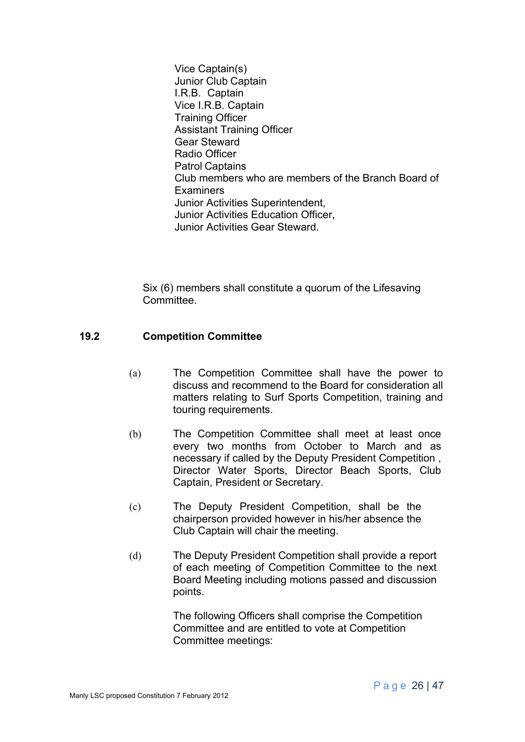Vice Captain(s) Junior Club Captain I.R.B. Captain Vice I.R.B. Captain Training Officer Assistant Training Officer Gear Steward Radio Officer Patrol Captains Club members who are members of the Branch Board of Examiners Junior Activities Superintendent, Junior Activities Education Officer, Junior Activities Gear Steward.

Six (6) members shall constitute a quorum of the Lifesaving Committee.

#### **19.2 Competition Committee**

- (a) The Competition Committee shall have the power to discuss and recommend to the Board for consideration all matters relating to Surf Sports Competition, training and touring requirements.
- (b) The Competition Committee shall meet at least once every two months from October to March and as necessary if called by the Deputy President Competition , Director Water Sports, Director Beach Sports, Club Captain, President or Secretary.
- (c) The Deputy President Competition, shall be the chairperson provided however in his/her absence the Club Captain will chair the meeting.
- (d) The Deputy President Competition shall provide a report of each meeting of Competition Committee to the next Board Meeting including motions passed and discussion points.

The following Officers shall comprise the Competition Committee and are entitled to vote at Competition Committee meetings: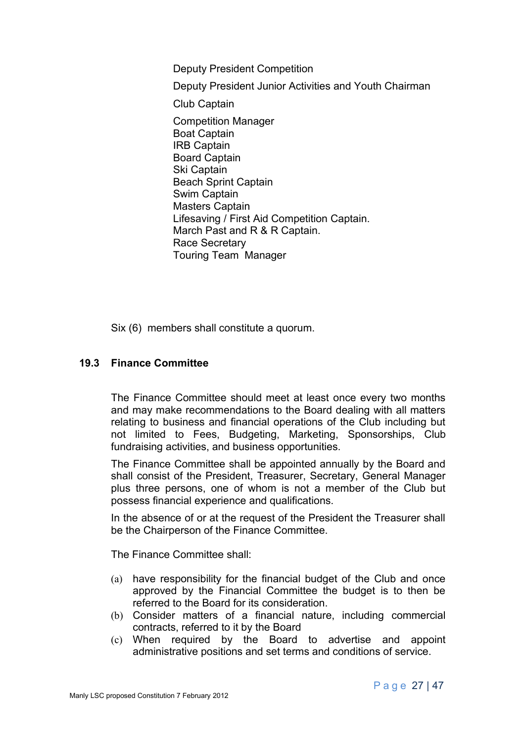Deputy President Competition Deputy President Junior Activities and Youth Chairman Club Captain Competition Manager Boat Captain IRB Captain Board Captain Ski Captain Beach Sprint Captain Swim Captain Masters Captain Lifesaving / First Aid Competition Captain. March Past and R & R Captain. Race Secretary Touring Team Manager

Six (6) members shall constitute a quorum.

### **19.3 Finance Committee**

The Finance Committee should meet at least once every two months and may make recommendations to the Board dealing with all matters relating to business and financial operations of the Club including but not limited to Fees, Budgeting, Marketing, Sponsorships, Club fundraising activities, and business opportunities.

The Finance Committee shall be appointed annually by the Board and shall consist of the President, Treasurer, Secretary, General Manager plus three persons, one of whom is not a member of the Club but possess financial experience and qualifications.

In the absence of or at the request of the President the Treasurer shall be the Chairperson of the Finance Committee.

The Finance Committee shall:

- (a) have responsibility for the financial budget of the Club and once approved by the Financial Committee the budget is to then be referred to the Board for its consideration.
- (b) Consider matters of a financial nature, including commercial contracts, referred to it by the Board
- (c) When required by the Board to advertise and appoint administrative positions and set terms and conditions of service.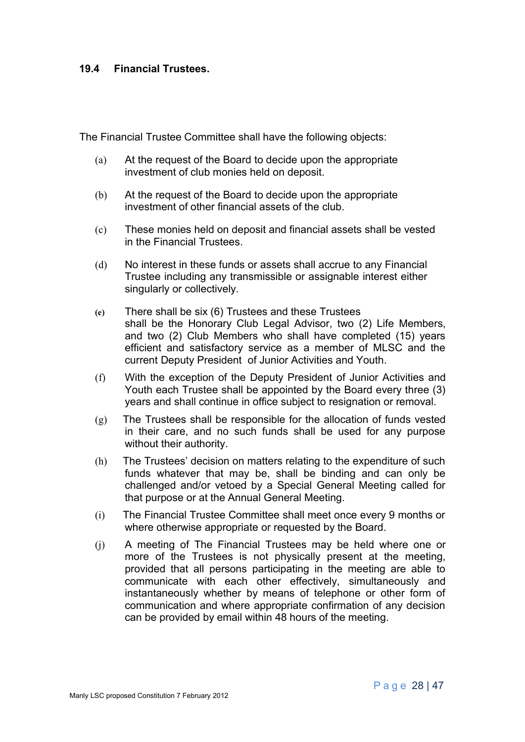#### **19.4 Financial Trustees.**

The Financial Trustee Committee shall have the following objects:

- (a) At the request of the Board to decide upon the appropriate investment of club monies held on deposit.
- (b) At the request of the Board to decide upon the appropriate investment of other financial assets of the club.
- (c) These monies held on deposit and financial assets shall be vested in the Financial Trustees.
- (d) No interest in these funds or assets shall accrue to any Financial Trustee including any transmissible or assignable interest either singularly or collectively.
- **(e)** There shall be six (6) Trustees and these Trustees shall be the Honorary Club Legal Advisor, two (2) Life Members, and two (2) Club Members who shall have completed (15) years efficient and satisfactory service as a member of MLSC and the current Deputy President of Junior Activities and Youth.
- (f) With the exception of the Deputy President of Junior Activities and Youth each Trustee shall be appointed by the Board every three (3) years and shall continue in office subject to resignation or removal.
- $(g)$  The Trustees shall be responsible for the allocation of funds vested in their care, and no such funds shall be used for any purpose without their authority.
- (h) The Trustees' decision on matters relating to the expenditure of such funds whatever that may be, shall be binding and can only be challenged and/or vetoed by a Special General Meeting called for that purpose or at the Annual General Meeting.
- (i) The Financial Trustee Committee shall meet once every 9 months or where otherwise appropriate or requested by the Board.
- (j) A meeting of The Financial Trustees may be held where one or more of the Trustees is not physically present at the meeting, provided that all persons participating in the meeting are able to communicate with each other effectively, simultaneously and instantaneously whether by means of telephone or other form of communication and where appropriate confirmation of any decision can be provided by email within 48 hours of the meeting.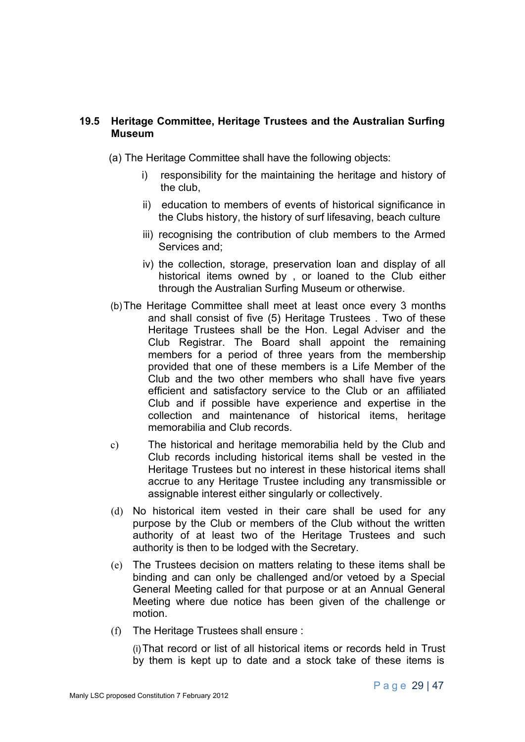### **19.5 Heritage Committee, Heritage Trustees and the Australian Surfing Museum**

(a) The Heritage Committee shall have the following objects:

- i) responsibility for the maintaining the heritage and history of the club,
- ii) education to members of events of historical significance in the Clubs history, the history of surf lifesaving, beach culture
- iii) recognising the contribution of club members to the Armed Services and;
- iv) the collection, storage, preservation loan and display of all historical items owned by , or loaned to the Club either through the Australian Surfing Museum or otherwise.
- (b)The Heritage Committee shall meet at least once every 3 months and shall consist of five (5) Heritage Trustees . Two of these Heritage Trustees shall be the Hon. Legal Adviser and the Club Registrar. The Board shall appoint the remaining members for a period of three years from the membership provided that one of these members is a Life Member of the Club and the two other members who shall have five years efficient and satisfactory service to the Club or an affiliated Club and if possible have experience and expertise in the collection and maintenance of historical items, heritage memorabilia and Club records.
- c) The historical and heritage memorabilia held by the Club and Club records including historical items shall be vested in the Heritage Trustees but no interest in these historical items shall accrue to any Heritage Trustee including any transmissible or assignable interest either singularly or collectively.
- (d) No historical item vested in their care shall be used for any purpose by the Club or members of the Club without the written authority of at least two of the Heritage Trustees and such authority is then to be lodged with the Secretary.
- (e) The Trustees decision on matters relating to these items shall be binding and can only be challenged and/or vetoed by a Special General Meeting called for that purpose or at an Annual General Meeting where due notice has been given of the challenge or motion.
- (f) The Heritage Trustees shall ensure :

(i)That record or list of all historical items or records held in Trust by them is kept up to date and a stock take of these items is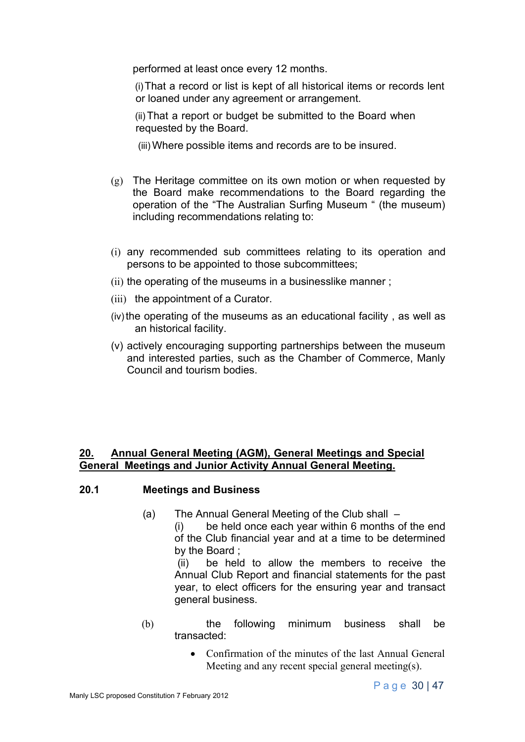performed at least once every 12 months.

(i)That a record or list is kept of all historical items or records lent or loaned under any agreement or arrangement.

(ii) That a report or budget be submitted to the Board when requested by the Board.

- (iii) Where possible items and records are to be insured.
- (g) The Heritage committee on its own motion or when requested by the Board make recommendations to the Board regarding the operation of the "The Australian Surfing Museum " (the museum) including recommendations relating to:
- (i) any recommended sub committees relating to its operation and persons to be appointed to those subcommittees;
- (ii) the operating of the museums in a businesslike manner ;
- (iii) the appointment of a Curator.
- (iv) the operating of the museums as an educational facility, as well as an historical facility.
- (v) actively encouraging supporting partnerships between the museum and interested parties, such as the Chamber of Commerce, Manly Council and tourism bodies.

#### **20. Annual General Meeting (AGM), General Meetings and Special General Meetings and Junior Activity Annual General Meeting.**

#### **20.1 Meetings and Business**

(a) The Annual General Meeting of the Club shall –

(i) be held once each year within 6 months of the end of the Club financial year and at a time to be determined by the Board ;

(ii) be held to allow the members to receive the Annual Club Report and financial statements for the past year, to elect officers for the ensuring year and transact general business.

- (b) the following minimum business shall be transacted:
	- Confirmation of the minutes of the last Annual General Meeting and any recent special general meeting(s).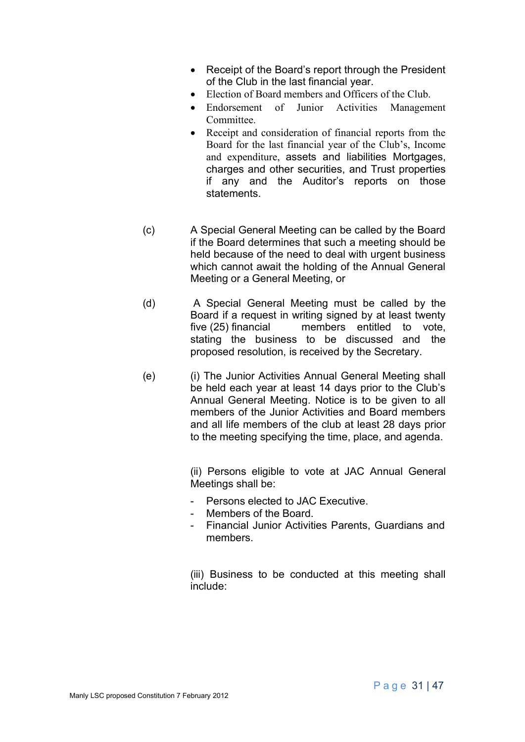- Receipt of the Board's report through the President of the Club in the last financial year.
- Election of Board members and Officers of the Club.
- Endorsement of Junior Activities Management Committee.
- Receipt and consideration of financial reports from the Board for the last financial year of the Club's, Income and expenditure, assets and liabilities Mortgages, charges and other securities, and Trust properties if any and the Auditor's reports on those statements.
- (c) A Special General Meeting can be called by the Board if the Board determines that such a meeting should be held because of the need to deal with urgent business which cannot await the holding of the Annual General Meeting or a General Meeting, or
- (d) A Special General Meeting must be called by the Board if a request in writing signed by at least twenty five (25) financial members entitled to vote, stating the business to be discussed and the proposed resolution, is received by the Secretary.
- (e) (i) The Junior Activities Annual General Meeting shall be held each year at least 14 days prior to the Club's Annual General Meeting. Notice is to be given to all members of the Junior Activities and Board members and all life members of the club at least 28 days prior to the meeting specifying the time, place, and agenda.

(ii) Persons eligible to vote at JAC Annual General Meetings shall be:

- Persons elected to JAC Executive.
- Members of the Board.
- Financial Junior Activities Parents, Guardians and members.

(iii) Business to be conducted at this meeting shall include: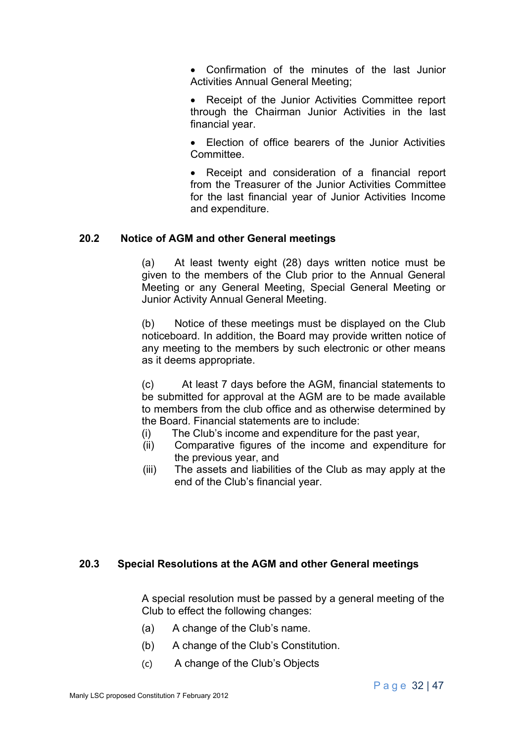• Confirmation of the minutes of the last Junior Activities Annual General Meeting;

• Receipt of the Junior Activities Committee report through the Chairman Junior Activities in the last financial year.

• Election of office bearers of the Junior Activities **Committee** 

• Receipt and consideration of a financial report from the Treasurer of the Junior Activities Committee for the last financial year of Junior Activities Income and expenditure.

#### **20.2 Notice of AGM and other General meetings**

(a) At least twenty eight (28) days written notice must be given to the members of the Club prior to the Annual General Meeting or any General Meeting, Special General Meeting or Junior Activity Annual General Meeting.

(b) Notice of these meetings must be displayed on the Club noticeboard. In addition, the Board may provide written notice of any meeting to the members by such electronic or other means as it deems appropriate.

(c) At least 7 days before the AGM, financial statements to be submitted for approval at the AGM are to be made available to members from the club office and as otherwise determined by the Board. Financial statements are to include:

- (i) The Club's income and expenditure for the past year,
- (ii) Comparative figures of the income and expenditure for the previous year, and
- (iii) The assets and liabilities of the Club as may apply at the end of the Club's financial year.

#### **20.3 Special Resolutions at the AGM and other General meetings**

A special resolution must be passed by a general meeting of the Club to effect the following changes:

- (a) A change of the Club's name.
- (b) A change of the Club's Constitution.
- (c) A change of the Club's Objects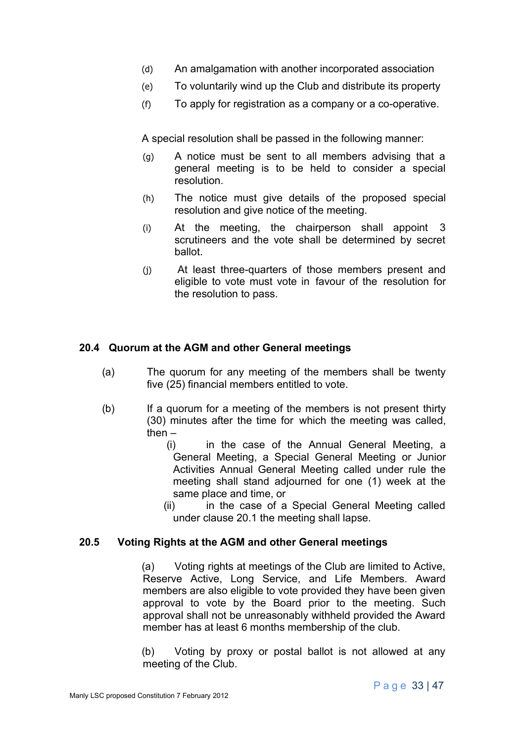- (d) An amalgamation with another incorporated association
- (e) To voluntarily wind up the Club and distribute its property
- (f) To apply for registration as a company or a co-operative.

A special resolution shall be passed in the following manner:

- (g) A notice must be sent to all members advising that a general meeting is to be held to consider a special resolution.
- (h) The notice must give details of the proposed special resolution and give notice of the meeting.
- (i) At the meeting, the chairperson shall appoint 3 scrutineers and the vote shall be determined by secret ballot.
- (j) At least three-quarters of those members present and eligible to vote must vote in favour of the resolution for the resolution to pass.

## **20.4 Quorum at the AGM and other General meetings**

- (a) The quorum for any meeting of the members shall be twenty five (25) financial members entitled to vote.
- (b) If a quorum for a meeting of the members is not present thirty (30) minutes after the time for which the meeting was called, then  $-$ 
	- (i) in the case of the Annual General Meeting, a General Meeting, a Special General Meeting or Junior Activities Annual General Meeting called under rule the meeting shall stand adjourned for one (1) week at the same place and time, or
	- (ii) in the case of a Special General Meeting called under clause 20.1 the meeting shall lapse.

#### **20.5 Voting Rights at the AGM and other General meetings**

(a) Voting rights at meetings of the Club are limited to Active, Reserve Active, Long Service, and Life Members. Award members are also eligible to vote provided they have been given approval to vote by the Board prior to the meeting. Such approval shall not be unreasonably withheld provided the Award member has at least 6 months membership of the club.

(b) Voting by proxy or postal ballot is not allowed at any meeting of the Club.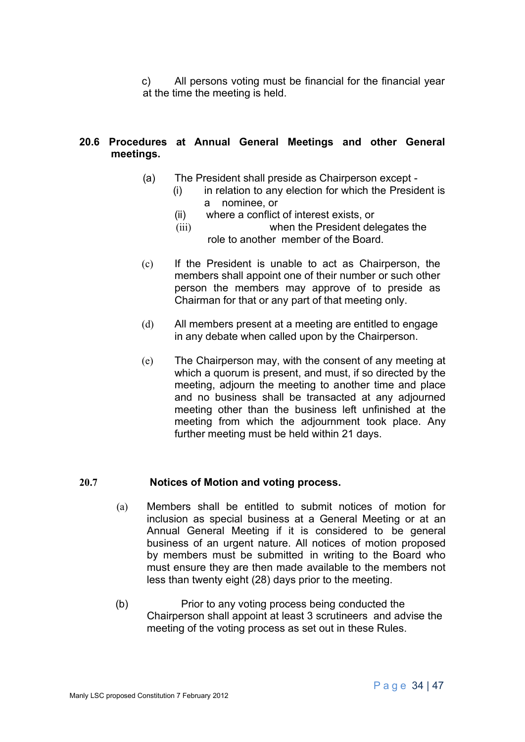c) All persons voting must be financial for the financial year at the time the meeting is held.

## **20.6 Procedures at Annual General Meetings and other General meetings.**

- (a) The President shall preside as Chairperson except
	- (i) in relation to any election for which the President is a nominee, or
		- (ii) where a conflict of interest exists, or
		- (iii) when the President delegates the role to another member of the Board.
- (c) If the President is unable to act as Chairperson, the members shall appoint one of their number or such other person the members may approve of to preside as Chairman for that or any part of that meeting only.
- (d) All members present at a meeting are entitled to engage in any debate when called upon by the Chairperson.
- (e) The Chairperson may, with the consent of any meeting at which a quorum is present, and must, if so directed by the meeting, adjourn the meeting to another time and place and no business shall be transacted at any adjourned meeting other than the business left unfinished at the meeting from which the adjournment took place. Any further meeting must be held within 21 days.

# **20.7 Notices of Motion and voting process.**

- (a) Members shall be entitled to submit notices of motion for inclusion as special business at a General Meeting or at an Annual General Meeting if it is considered to be general business of an urgent nature. All notices of motion proposed by members must be submitted in writing to the Board who must ensure they are then made available to the members not less than twenty eight (28) days prior to the meeting.
- (b) Prior to any voting process being conducted the Chairperson shall appoint at least 3 scrutineers and advise the meeting of the voting process as set out in these Rules.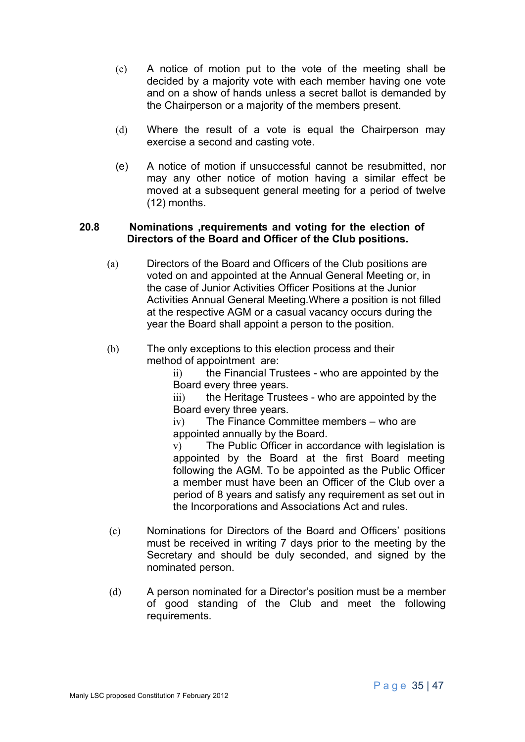- (c) A notice of motion put to the vote of the meeting shall be decided by a majority vote with each member having one vote and on a show of hands unless a secret ballot is demanded by the Chairperson or a majority of the members present.
- (d) Where the result of a vote is equal the Chairperson may exercise a second and casting vote.
- (e) A notice of motion if unsuccessful cannot be resubmitted, nor may any other notice of motion having a similar effect be moved at a subsequent general meeting for a period of twelve (12) months.

#### **20.8 Nominations ,requirements and voting for the election of Directors of the Board and Officer of the Club positions.**

- (a) Directors of the Board and Officers of the Club positions are voted on and appointed at the Annual General Meeting or, in the case of Junior Activities Officer Positions at the Junior Activities Annual General Meeting.Where a position is not filled at the respective AGM or a casual vacancy occurs during the year the Board shall appoint a person to the position.
- (b) The only exceptions to this election process and their method of appointment are:

ii) the Financial Trustees - who are appointed by the Board every three years.

iii) the Heritage Trustees - who are appointed by the Board every three years.

iv) The Finance Committee members – who are appointed annually by the Board.

v) The Public Officer in accordance with legislation is appointed by the Board at the first Board meeting following the AGM. To be appointed as the Public Officer a member must have been an Officer of the Club over a period of 8 years and satisfy any requirement as set out in the Incorporations and Associations Act and rules.

- (c) Nominations for Directors of the Board and Officers' positions must be received in writing 7 days prior to the meeting by the Secretary and should be duly seconded, and signed by the nominated person.
- (d) A person nominated for a Director's position must be a member of good standing of the Club and meet the following requirements.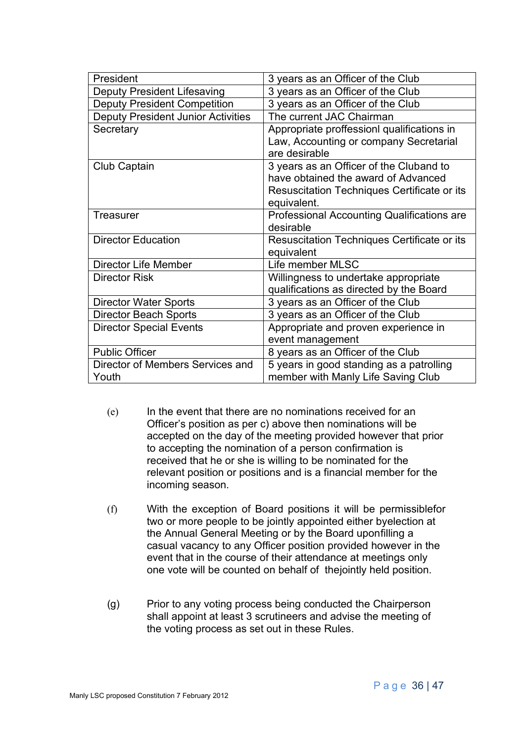| President                                 | 3 years as an Officer of the Club                 |
|-------------------------------------------|---------------------------------------------------|
| Deputy President Lifesaving               | 3 years as an Officer of the Club                 |
| <b>Deputy President Competition</b>       | 3 years as an Officer of the Club                 |
| <b>Deputy President Junior Activities</b> | The current JAC Chairman                          |
| Secretary                                 | Appropriate proffessionl qualifications in        |
|                                           | Law, Accounting or company Secretarial            |
|                                           | are desirable                                     |
| <b>Club Captain</b>                       | 3 years as an Officer of the Cluband to           |
|                                           | have obtained the award of Advanced               |
|                                           | Resuscitation Techniques Certificate or its       |
|                                           | equivalent.                                       |
| <b>Treasurer</b>                          | <b>Professional Accounting Qualifications are</b> |
|                                           | desirable                                         |
| <b>Director Education</b>                 | Resuscitation Techniques Certificate or its       |
|                                           | equivalent                                        |
| <b>Director Life Member</b>               | Life member MLSC                                  |
| <b>Director Risk</b>                      | Willingness to undertake appropriate              |
|                                           | qualifications as directed by the Board           |
| <b>Director Water Sports</b>              | 3 years as an Officer of the Club                 |
| <b>Director Beach Sports</b>              | 3 years as an Officer of the Club                 |
| <b>Director Special Events</b>            | Appropriate and proven experience in              |
|                                           | event management                                  |
| <b>Public Officer</b>                     | 8 years as an Officer of the Club                 |
| Director of Members Services and          | 5 years in good standing as a patrolling          |
| Youth                                     | member with Manly Life Saving Club                |

- (e) In the event that there are no nominations received for an Officer's position as per c) above then nominations will be accepted on the day of the meeting provided however that prior to accepting the nomination of a person confirmation is received that he or she is willing to be nominated for the relevant position or positions and is a financial member for the incoming season.
- (f) With the exception of Board positions it will be permissiblefor two or more people to be jointly appointed either byelection at the Annual General Meeting or by the Board uponfilling a casual vacancy to any Officer position provided however in the event that in the course of their attendance at meetings only one vote will be counted on behalf of thejointly held position.
- (g) Prior to any voting process being conducted the Chairperson shall appoint at least 3 scrutineers and advise the meeting of the voting process as set out in these Rules.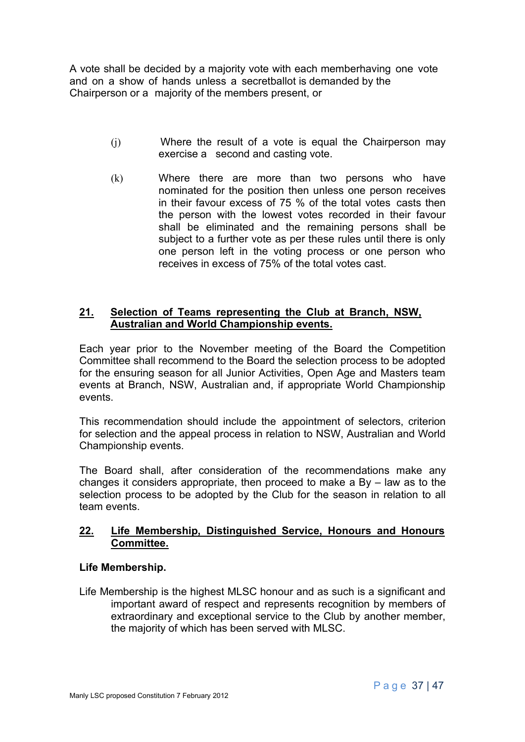A vote shall be decided by a majority vote with each memberhaving one vote and on a show of hands unless a secretballot is demanded by the Chairperson or a majority of the members present, or

- (j) Where the result of a vote is equal the Chairperson may exercise a second and casting vote.
- (k) Where there are more than two persons who have nominated for the position then unless one person receives in their favour excess of 75 % of the total votes casts then the person with the lowest votes recorded in their favour shall be eliminated and the remaining persons shall be subject to a further vote as per these rules until there is only one person left in the voting process or one person who receives in excess of 75% of the total votes cast.

## **21. Selection of Teams representing the Club at Branch, NSW, Australian and World Championship events.**

Each year prior to the November meeting of the Board the Competition Committee shall recommend to the Board the selection process to be adopted for the ensuring season for all Junior Activities, Open Age and Masters team events at Branch, NSW, Australian and, if appropriate World Championship events.

This recommendation should include the appointment of selectors, criterion for selection and the appeal process in relation to NSW, Australian and World Championship events.

The Board shall, after consideration of the recommendations make any changes it considers appropriate, then proceed to make a By – law as to the selection process to be adopted by the Club for the season in relation to all team events.

## **22. Life Membership, Distinguished Service, Honours and Honours Committee.**

# **Life Membership.**

Life Membership is the highest MLSC honour and as such is a significant and important award of respect and represents recognition by members of extraordinary and exceptional service to the Club by another member, the majority of which has been served with MLSC.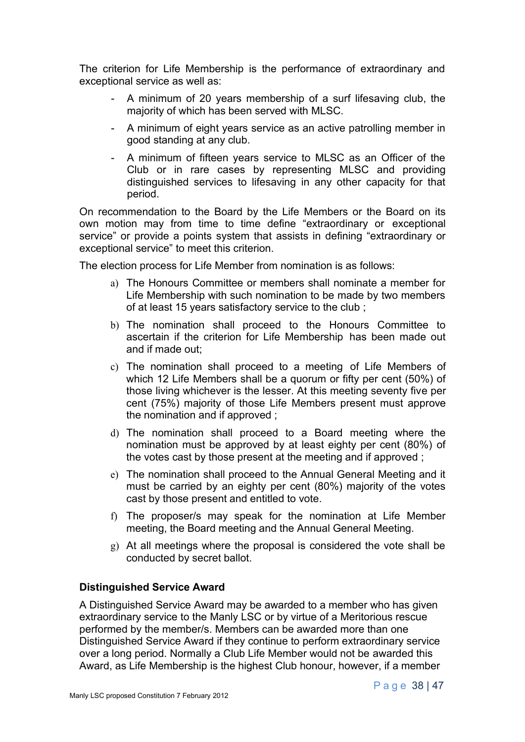The criterion for Life Membership is the performance of extraordinary and exceptional service as well as:

- A minimum of 20 years membership of a surf lifesaving club, the majority of which has been served with MLSC.
- A minimum of eight years service as an active patrolling member in good standing at any club.
- A minimum of fifteen years service to MLSC as an Officer of the Club or in rare cases by representing MLSC and providing distinguished services to lifesaving in any other capacity for that period.

On recommendation to the Board by the Life Members or the Board on its own motion may from time to time define "extraordinary or exceptional service" or provide a points system that assists in defining "extraordinary or exceptional service" to meet this criterion.

The election process for Life Member from nomination is as follows:

- a) The Honours Committee or members shall nominate a member for Life Membership with such nomination to be made by two members of at least 15 years satisfactory service to the club ;
- b) The nomination shall proceed to the Honours Committee to ascertain if the criterion for Life Membership has been made out and if made out;
- c) The nomination shall proceed to a meeting of Life Members of which 12 Life Members shall be a quorum or fifty per cent (50%) of those living whichever is the lesser. At this meeting seventy five per cent (75%) majority of those Life Members present must approve the nomination and if approved ;
- d) The nomination shall proceed to a Board meeting where the nomination must be approved by at least eighty per cent (80%) of the votes cast by those present at the meeting and if approved ;
- e) The nomination shall proceed to the Annual General Meeting and it must be carried by an eighty per cent (80%) majority of the votes cast by those present and entitled to vote.
- f) The proposer/s may speak for the nomination at Life Member meeting, the Board meeting and the Annual General Meeting.
- g) At all meetings where the proposal is considered the vote shall be conducted by secret ballot.

#### **Distinguished Service Award**

A Distinguished Service Award may be awarded to a member who has given extraordinary service to the Manly LSC or by virtue of a Meritorious rescue performed by the member/s. Members can be awarded more than one Distinguished Service Award if they continue to perform extraordinary service over a long period. Normally a Club Life Member would not be awarded this Award, as Life Membership is the highest Club honour, however, if a member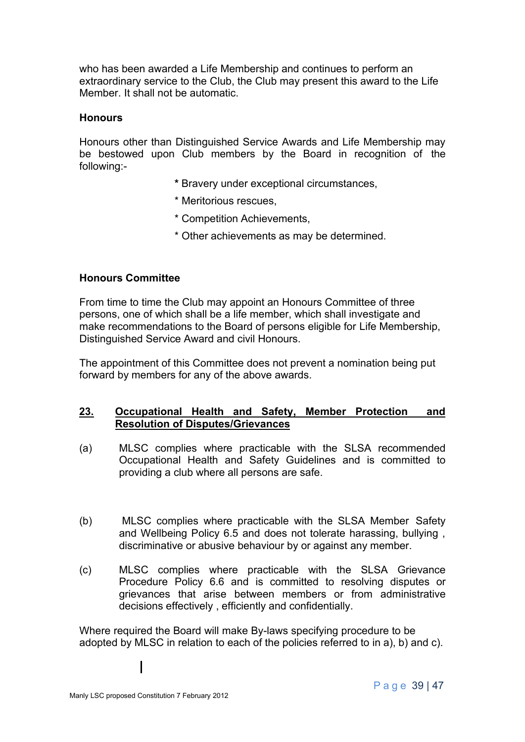who has been awarded a Life Membership and continues to perform an extraordinary service to the Club, the Club may present this award to the Life Member. It shall not be automatic.

#### **Honours**

Honours other than Distinguished Service Awards and Life Membership may be bestowed upon Club members by the Board in recognition of the following:-

- **\*** Bravery under exceptional circumstances,
- \* Meritorious rescues,
- \* Competition Achievements,
- \* Other achievements as may be determined.

#### **Honours Committee**

From time to time the Club may appoint an Honours Committee of three persons, one of which shall be a life member, which shall investigate and make recommendations to the Board of persons eligible for Life Membership, Distinguished Service Award and civil Honours.

The appointment of this Committee does not prevent a nomination being put forward by members for any of the above awards.

#### **23. Occupational Health and Safety, Member Protection and Resolution of Disputes/Grievances**

- (a) MLSC complies where practicable with the SLSA recommended Occupational Health and Safety Guidelines and is committed to providing a club where all persons are safe.
- (b) MLSC complies where practicable with the SLSA Member Safety and Wellbeing Policy 6.5 and does not tolerate harassing, bullying , discriminative or abusive behaviour by or against any member.
- (c) MLSC complies where practicable with the SLSA Grievance Procedure Policy 6.6 and is committed to resolving disputes or grievances that arise between members or from administrative decisions effectively , efficiently and confidentially.

Where required the Board will make By-laws specifying procedure to be adopted by MLSC in relation to each of the policies referred to in a), b) and c).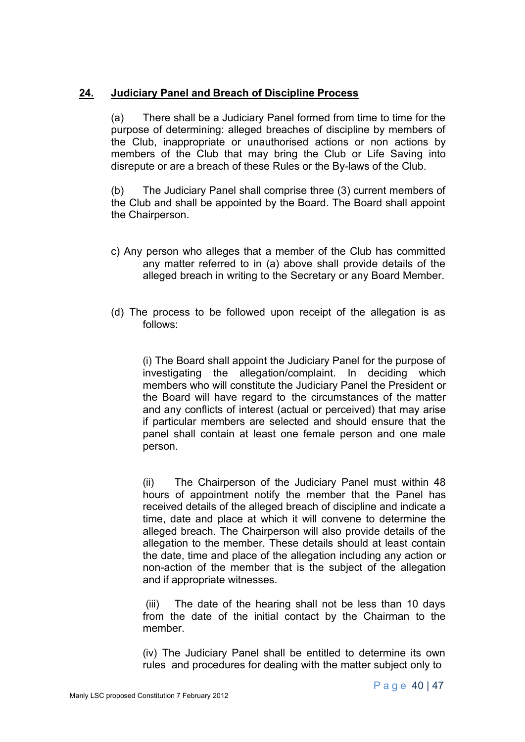## **24. Judiciary Panel and Breach of Discipline Process**

(a) There shall be a Judiciary Panel formed from time to time for the purpose of determining: alleged breaches of discipline by members of the Club, inappropriate or unauthorised actions or non actions by members of the Club that may bring the Club or Life Saving into disrepute or are a breach of these Rules or the By-laws of the Club.

(b) The Judiciary Panel shall comprise three (3) current members of the Club and shall be appointed by the Board. The Board shall appoint the Chairperson.

- c) Any person who alleges that a member of the Club has committed any matter referred to in (a) above shall provide details of the alleged breach in writing to the Secretary or any Board Member.
- (d) The process to be followed upon receipt of the allegation is as follows:

(i) The Board shall appoint the Judiciary Panel for the purpose of investigating the allegation/complaint. In deciding which members who will constitute the Judiciary Panel the President or the Board will have regard to the circumstances of the matter and any conflicts of interest (actual or perceived) that may arise if particular members are selected and should ensure that the panel shall contain at least one female person and one male person.

(ii) The Chairperson of the Judiciary Panel must within 48 hours of appointment notify the member that the Panel has received details of the alleged breach of discipline and indicate a time, date and place at which it will convene to determine the alleged breach. The Chairperson will also provide details of the allegation to the member. These details should at least contain the date, time and place of the allegation including any action or non-action of the member that is the subject of the allegation and if appropriate witnesses.

(iii) The date of the hearing shall not be less than 10 days from the date of the initial contact by the Chairman to the member.

(iv) The Judiciary Panel shall be entitled to determine its own rules and procedures for dealing with the matter subject only to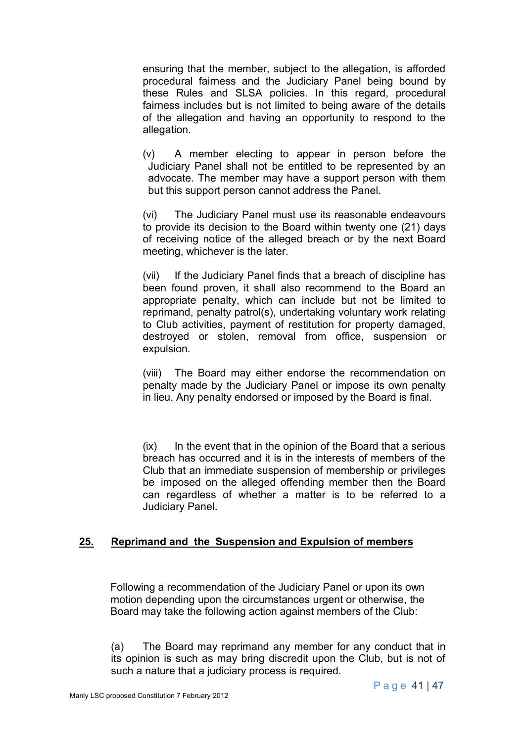ensuring that the member, subject to the allegation, is afforded procedural fairness and the Judiciary Panel being bound by these Rules and SLSA policies. In this regard, procedural fairness includes but is not limited to being aware of the details of the allegation and having an opportunity to respond to the allegation.

(v) A member electing to appear in person before the Judiciary Panel shall not be entitled to be represented by an advocate. The member may have a support person with them but this support person cannot address the Panel.

(vi) The Judiciary Panel must use its reasonable endeavours to provide its decision to the Board within twenty one (21) days of receiving notice of the alleged breach or by the next Board meeting, whichever is the later.

(vii) If the Judiciary Panel finds that a breach of discipline has been found proven, it shall also recommend to the Board an appropriate penalty, which can include but not be limited to reprimand, penalty patrol(s), undertaking voluntary work relating to Club activities, payment of restitution for property damaged, destroyed or stolen, removal from office, suspension or expulsion.

(viii) The Board may either endorse the recommendation on penalty made by the Judiciary Panel or impose its own penalty in lieu. Any penalty endorsed or imposed by the Board is final.

 $(ix)$  In the event that in the opinion of the Board that a serious breach has occurred and it is in the interests of members of the Club that an immediate suspension of membership or privileges be imposed on the alleged offending member then the Board can regardless of whether a matter is to be referred to a Judiciary Panel.

# **25. Reprimand and the Suspension and Expulsion of members**

Following a recommendation of the Judiciary Panel or upon its own motion depending upon the circumstances urgent or otherwise, the Board may take the following action against members of the Club:

(a) The Board may reprimand any member for any conduct that in its opinion is such as may bring discredit upon the Club, but is not of such a nature that a judiciary process is required.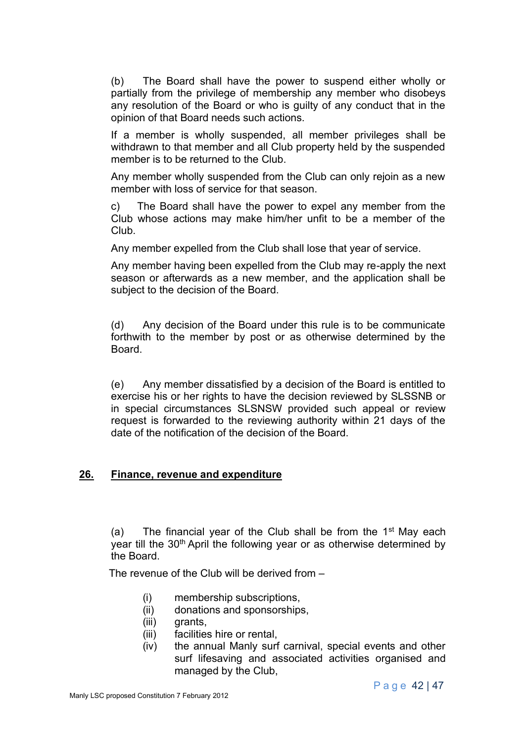(b) The Board shall have the power to suspend either wholly or partially from the privilege of membership any member who disobeys any resolution of the Board or who is guilty of any conduct that in the opinion of that Board needs such actions.

If a member is wholly suspended, all member privileges shall be withdrawn to that member and all Club property held by the suspended member is to be returned to the Club.

Any member wholly suspended from the Club can only rejoin as a new member with loss of service for that season.

c) The Board shall have the power to expel any member from the Club whose actions may make him/her unfit to be a member of the Club.

Any member expelled from the Club shall lose that year of service.

Any member having been expelled from the Club may re-apply the next season or afterwards as a new member, and the application shall be subject to the decision of the Board.

(d) Any decision of the Board under this rule is to be communicate forthwith to the member by post or as otherwise determined by the Board.

(e) Any member dissatisfied by a decision of the Board is entitled to exercise his or her rights to have the decision reviewed by SLSSNB or in special circumstances SLSNSW provided such appeal or review request is forwarded to the reviewing authority within 21 days of the date of the notification of the decision of the Board.

#### **26. Finance, revenue and expenditure**

(a) The financial year of the Club shall be from the  $1<sup>st</sup>$  May each year till the 30<sup>th</sup> April the following year or as otherwise determined by the Board.

The revenue of the Club will be derived from –

- (i) membership subscriptions,
- (ii) donations and sponsorships,
- (iii) grants,
- (iii) facilities hire or rental,
- (iv) the annual Manly surf carnival, special events and other surf lifesaving and associated activities organised and managed by the Club,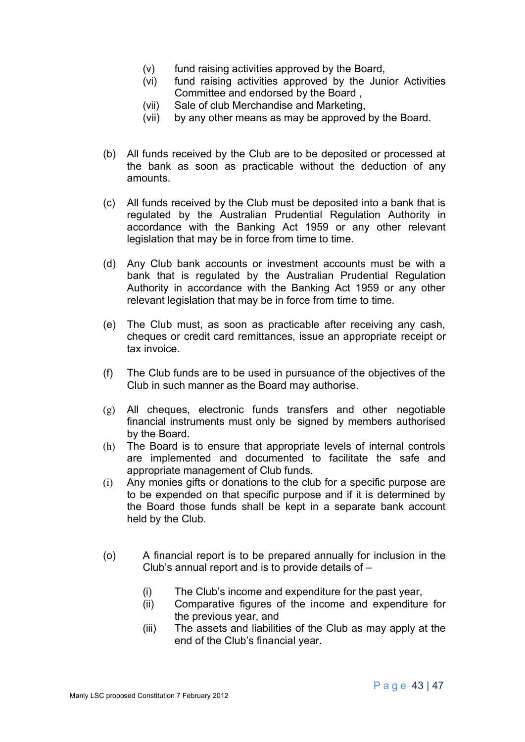- (v) fund raising activities approved by the Board,
- (vi) fund raising activities approved by the Junior Activities Committee and endorsed by the Board ,
- (vii) Sale of club Merchandise and Marketing,
- (vii) by any other means as may be approved by the Board.
- (b) All funds received by the Club are to be deposited or processed at the bank as soon as practicable without the deduction of any amounts.
- (c) All funds received by the Club must be deposited into a bank that is regulated by the Australian Prudential Regulation Authority in accordance with the Banking Act 1959 or any other relevant legislation that may be in force from time to time.
- (d) Any Club bank accounts or investment accounts must be with a bank that is regulated by the Australian Prudential Regulation Authority in accordance with the Banking Act 1959 or any other relevant legislation that may be in force from time to time.
- (e) The Club must, as soon as practicable after receiving any cash, cheques or credit card remittances, issue an appropriate receipt or tax invoice.
- (f) The Club funds are to be used in pursuance of the objectives of the Club in such manner as the Board may authorise.
- (g) All cheques, electronic funds transfers and other negotiable financial instruments must only be signed by members authorised by the Board.
- (h) The Board is to ensure that appropriate levels of internal controls are implemented and documented to facilitate the safe and appropriate management of Club funds.
- (i) Any monies gifts or donations to the club for a specific purpose are to be expended on that specific purpose and if it is determined by the Board those funds shall be kept in a separate bank account held by the Club.
- (o) A financial report is to be prepared annually for inclusion in the Club's annual report and is to provide details of –
	- (i) The Club's income and expenditure for the past year,
	- (ii) Comparative figures of the income and expenditure for the previous year, and
	- (iii) The assets and liabilities of the Club as may apply at the end of the Club's financial year.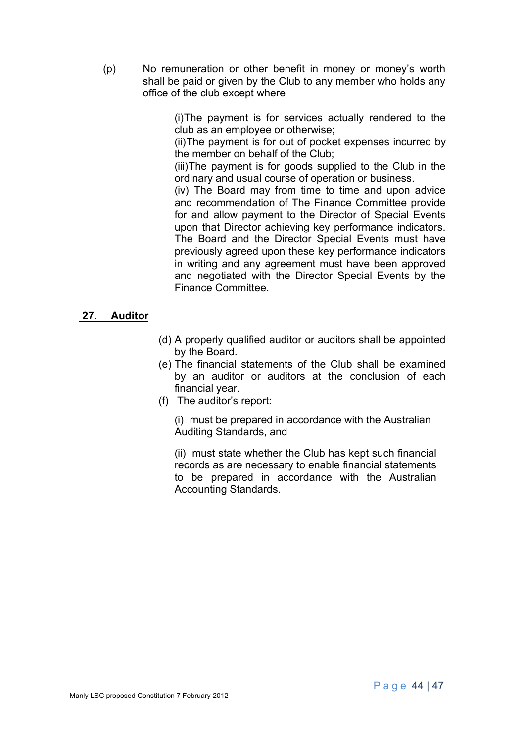(p) No remuneration or other benefit in money or money's worth shall be paid or given by the Club to any member who holds any office of the club except where

> (i)The payment is for services actually rendered to the club as an employee or otherwise;

> (ii)The payment is for out of pocket expenses incurred by the member on behalf of the Club;

> (iii)The payment is for goods supplied to the Club in the ordinary and usual course of operation or business.

> (iv) The Board may from time to time and upon advice and recommendation of The Finance Committee provide for and allow payment to the Director of Special Events upon that Director achieving key performance indicators. The Board and the Director Special Events must have previously agreed upon these key performance indicators in writing and any agreement must have been approved and negotiated with the Director Special Events by the Finance Committee.

#### **27. Auditor**

- (d) A properly qualified auditor or auditors shall be appointed by the Board.
- (e) The financial statements of the Club shall be examined by an auditor or auditors at the conclusion of each financial year.
- (f) The auditor's report:

(i) must be prepared in accordance with the Australian Auditing Standards, and

(ii) must state whether the Club has kept such financial records as are necessary to enable financial statements to be prepared in accordance with the Australian Accounting Standards.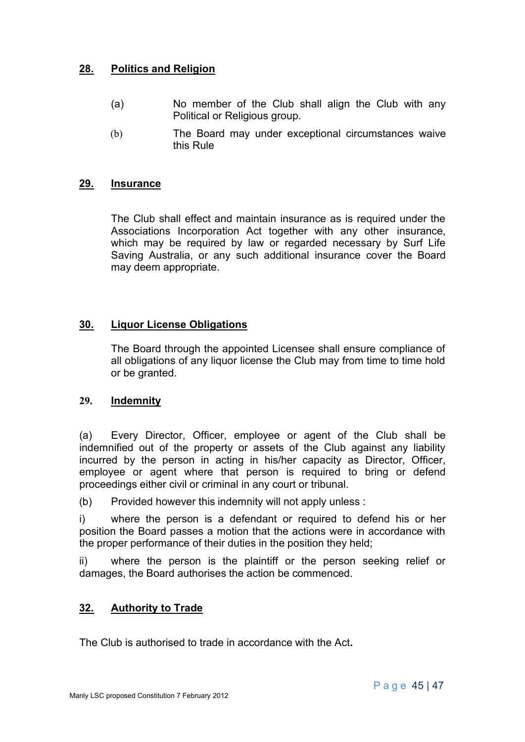# **28. Politics and Religion**

- (a) No member of the Club shall align the Club with any Political or Religious group.
- (b) The Board may under exceptional circumstances waive this Rule

## **29. Insurance**

The Club shall effect and maintain insurance as is required under the Associations Incorporation Act together with any other insurance, which may be required by law or regarded necessary by Surf Life Saving Australia, or any such additional insurance cover the Board may deem appropriate.

# **30. Liquor License Obligations**

The Board through the appointed Licensee shall ensure compliance of all obligations of any liquor license the Club may from time to time hold or be granted.

#### **29. Indemnity**

(a) Every Director, Officer, employee or agent of the Club shall be indemnified out of the property or assets of the Club against any liability incurred by the person in acting in his/her capacity as Director, Officer, employee or agent where that person is required to bring or defend proceedings either civil or criminal in any court or tribunal.

(b) Provided however this indemnity will not apply unless :

i) where the person is a defendant or required to defend his or her position the Board passes a motion that the actions were in accordance with the proper performance of their duties in the position they held;

ii) where the person is the plaintiff or the person seeking relief or damages, the Board authorises the action be commenced.

# **32. Authority to Trade**

The Club is authorised to trade in accordance with the Act**.**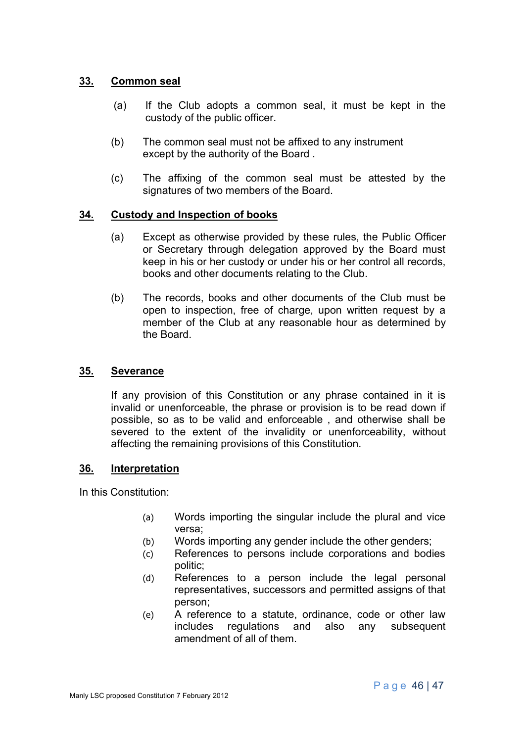## **33. Common seal**

- (a) If the Club adopts a common seal, it must be kept in the custody of the public officer.
- (b) The common seal must not be affixed to any instrument except by the authority of the Board .
- (c) The affixing of the common seal must be attested by the signatures of two members of the Board.

#### **34. Custody and Inspection of books**

- (a) Except as otherwise provided by these rules, the Public Officer or Secretary through delegation approved by the Board must keep in his or her custody or under his or her control all records, books and other documents relating to the Club.
- (b) The records, books and other documents of the Club must be open to inspection, free of charge, upon written request by a member of the Club at any reasonable hour as determined by the Board.

#### **35. Severance**

If any provision of this Constitution or any phrase contained in it is invalid or unenforceable, the phrase or provision is to be read down if possible, so as to be valid and enforceable , and otherwise shall be severed to the extent of the invalidity or unenforceability, without affecting the remaining provisions of this Constitution.

#### **36. Interpretation**

In this Constitution:

- (a) Words importing the singular include the plural and vice versa;
- (b) Words importing any gender include the other genders;
- (c) References to persons include corporations and bodies politic;
- (d) References to a person include the legal personal representatives, successors and permitted assigns of that person;
- (e) A reference to a statute, ordinance, code or other law includes regulations and also any subsequent amendment of all of them.